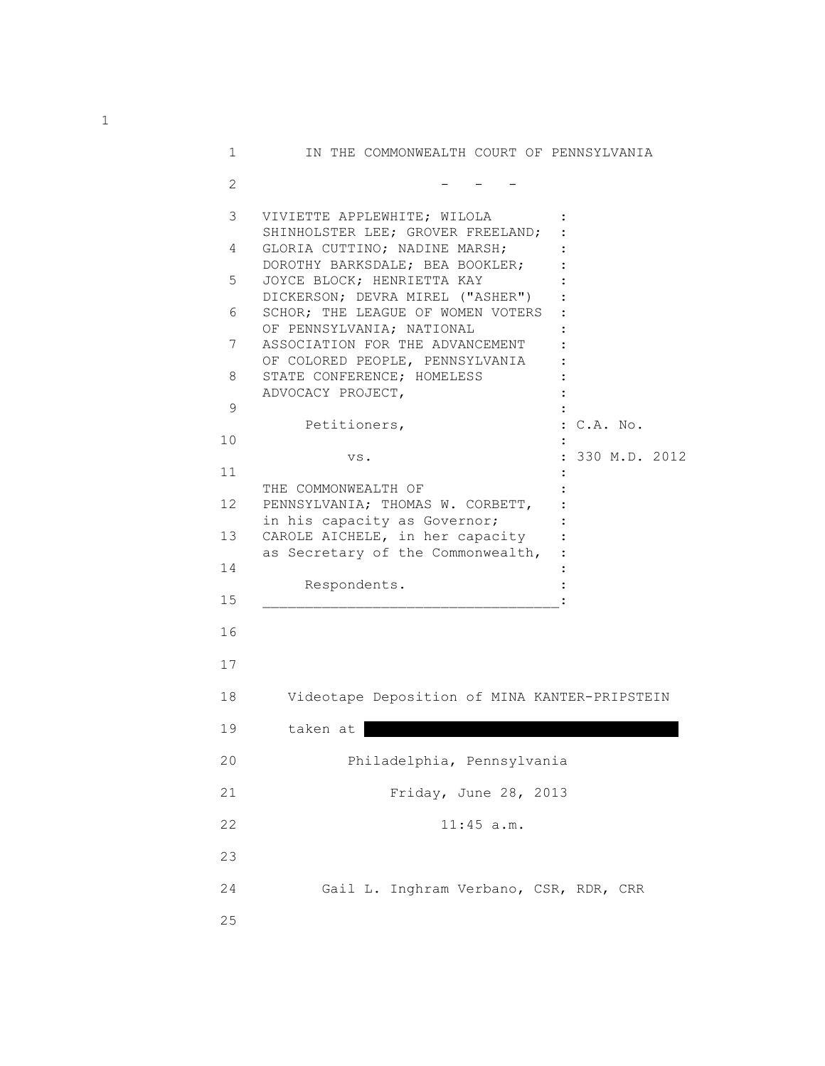| 1            | IN THE COMMONWEALTH COURT OF PENNSYLVANIA                                                             |  |
|--------------|-------------------------------------------------------------------------------------------------------|--|
| $\mathbf{2}$ |                                                                                                       |  |
| 3            | VIVIETTE APPLEWHITE; WILOLA                                                                           |  |
| 4            | SHINHOLSTER LEE; GROVER FREELAND;<br>GLORIA CUTTINO; NADINE MARSH;<br>DOROTHY BARKSDALE; BEA BOOKLER; |  |
| 5            | JOYCE BLOCK; HENRIETTA KAY<br>DICKERSON; DEVRA MIREL ("ASHER")                                        |  |
| 6            | SCHOR; THE LEAGUE OF WOMEN VOTERS<br>OF PENNSYLVANIA; NATIONAL                                        |  |
| 7            | ASSOCIATION FOR THE ADVANCEMENT<br>OF COLORED PEOPLE, PENNSYLVANIA                                    |  |
| 8            | STATE CONFERENCE; HOMELESS<br>ADVOCACY PROJECT,                                                       |  |
| 9            | Petitioners,<br>: C.A. No.                                                                            |  |
| 10           | : 330 M.D. 2012<br>VS.                                                                                |  |
| 11           | THE COMMONWEALTH OF                                                                                   |  |
| 12           | PENNSYLVANIA; THOMAS W. CORBETT,                                                                      |  |
| 13           | in his capacity as Governor;<br>CAROLE AICHELE, in her capacity<br>as Secretary of the Commonwealth,  |  |
| 14           |                                                                                                       |  |
| 15           | Respondents.                                                                                          |  |
| 16           |                                                                                                       |  |
| 17           |                                                                                                       |  |
| 18           | Videotape Deposition of MINA KANTER-PRIPSTEIN                                                         |  |
| 19           | taken at                                                                                              |  |
| 20           | Philadelphia, Pennsylvania                                                                            |  |
| 21           | Friday, June 28, 2013                                                                                 |  |
| 22           | $11:45$ a.m.                                                                                          |  |
| 23           |                                                                                                       |  |
| 24           | Gail L. Inghram Verbano, CSR, RDR, CRR                                                                |  |
| 25           |                                                                                                       |  |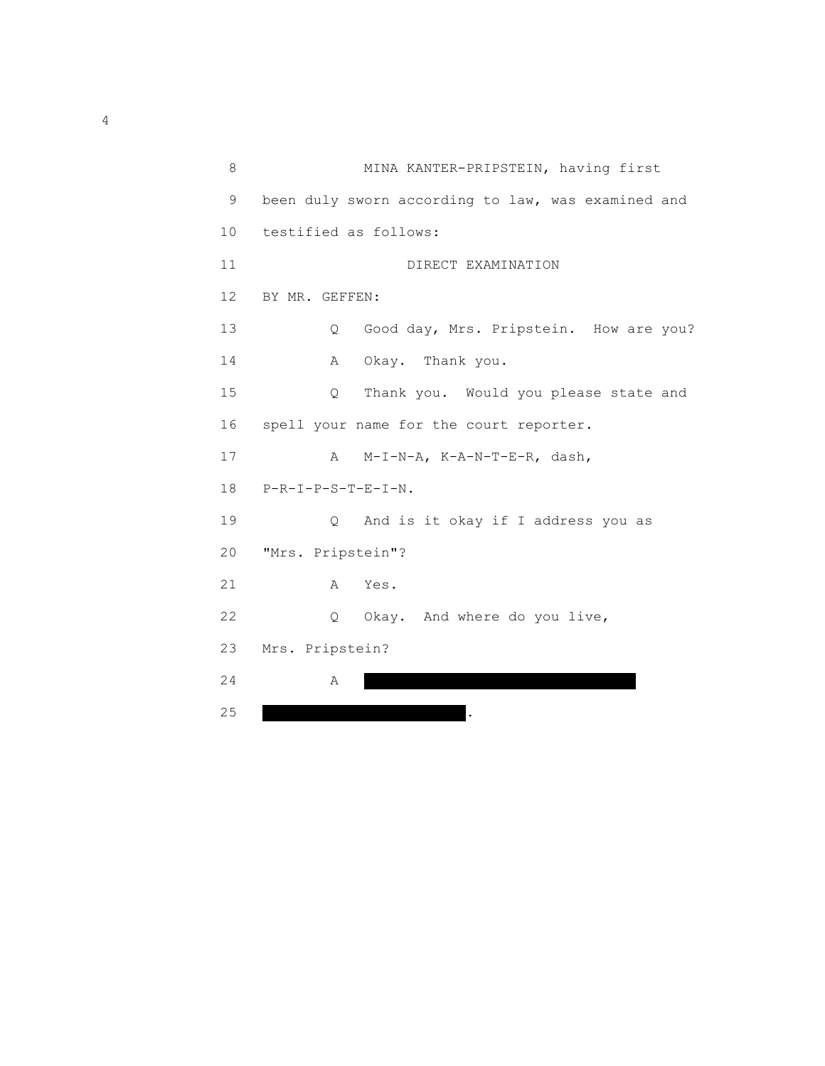| 8               | MINA KANTER-PRIPSTEIN, having first                |
|-----------------|----------------------------------------------------|
| 9               | been duly sworn according to law, was examined and |
| 10 <sup>°</sup> | testified as follows:                              |
| 11              | DIRECT EXAMINATION                                 |
| 12              | BY MR. GEFFEN:                                     |
| 13              | Good day, Mrs. Pripstein. How are you?<br>Q        |
| 14              | Okay. Thank you.<br>$\mathbb A$                    |
| 15              | Thank you. Would you please state and<br>Q         |
| 16              | spell your name for the court reporter.            |
| 17              | A<br>M-I-N-A, K-A-N-T-E-R, dash,                   |
| 18              | $P-R-I-P-S-T-E-I-N.$                               |
| 19              | And is it okay if I address you as<br>$\circ$      |
| 20              | "Mrs. Pripstein"?                                  |
| 21              | Yes.<br>A                                          |
| 22              | Okay. And where do you live,<br>$\circ$            |
| 23              | Mrs. Pripstein?                                    |
| 24              | Α                                                  |
| 25              |                                                    |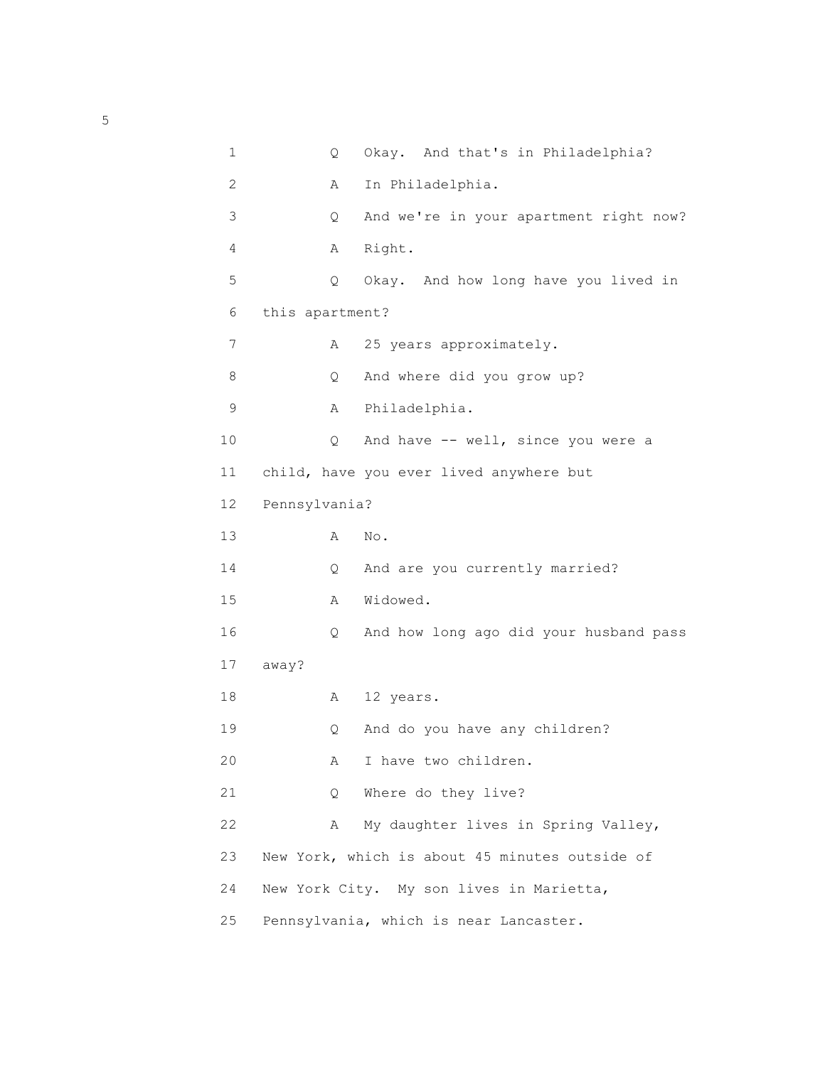|    | 1                    | Q  | Okay. And that's in Philadelphia?              |
|----|----------------------|----|------------------------------------------------|
|    | 2                    | Α  | In Philadelphia.                               |
|    | 3                    | Q  | And we're in your apartment right now?         |
|    | 4                    | Α  | Right.                                         |
|    | 5                    | Q  | Okay. And how long have you lived in           |
|    | this apartment?<br>6 |    |                                                |
|    | 7                    | Α  | 25 years approximately.                        |
|    | 8                    | Q. | And where did you grow up?                     |
|    | 9                    | Α  | Philadelphia.                                  |
| 10 |                      | Q  | And have -- well, since you were a             |
| 11 |                      |    | child, have you ever lived anywhere but        |
| 12 | Pennsylvania?        |    |                                                |
| 13 |                      | Α  | $\mbox{No}$ .                                  |
| 14 |                      | Q  | And are you currently married?                 |
| 15 |                      | Α  | Widowed.                                       |
| 16 |                      | Q  | And how long ago did your husband pass         |
| 17 | away?                |    |                                                |
| 18 |                      | Α  | 12 years.                                      |
| 19 |                      | Q  | And do you have any children?                  |
| 20 |                      | Α  | I have two children.                           |
| 21 |                      | Q. | Where do they live?                            |
| 22 |                      | Α  | My daughter lives in Spring Valley,            |
| 23 |                      |    | New York, which is about 45 minutes outside of |
| 24 |                      |    | New York City. My son lives in Marietta,       |
| 25 |                      |    | Pennsylvania, which is near Lancaster.         |
|    |                      |    |                                                |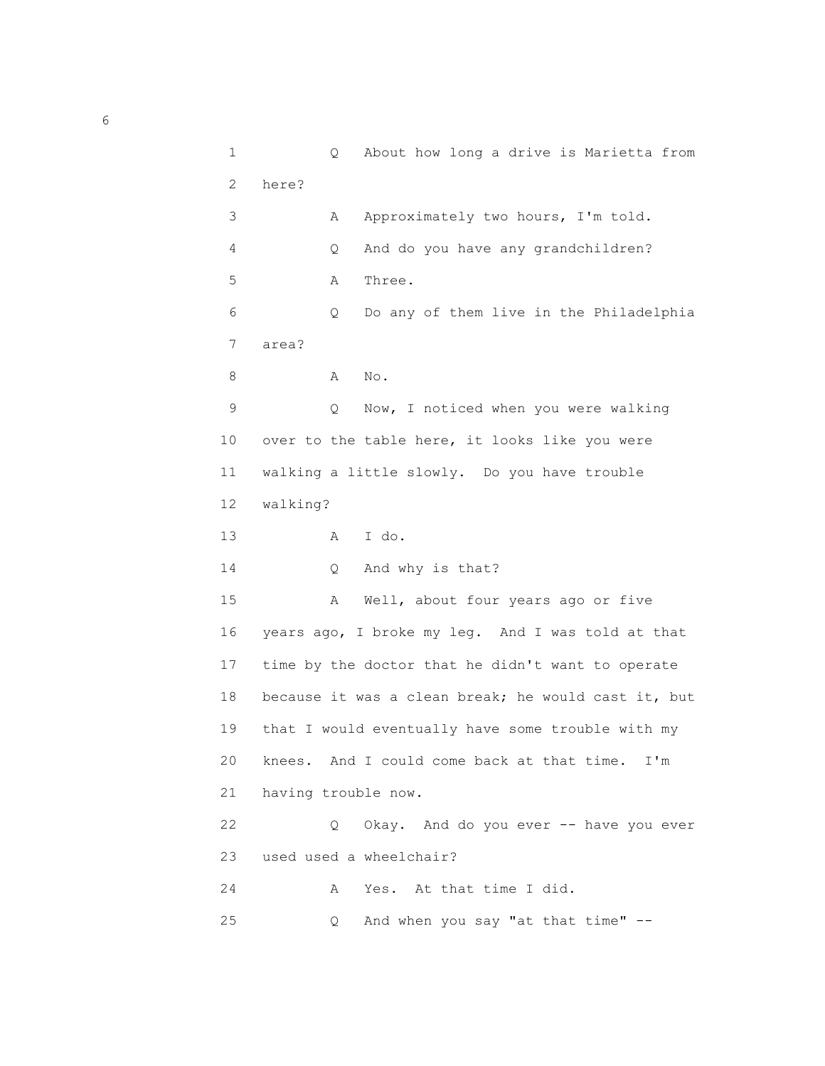```
 1 Q About how long a drive is Marietta from
             2 here?
            3 A Approximately two hours, I'm told.
             4 Q And do you have any grandchildren?
             5 A Three.
             6 Q Do any of them live in the Philadelphia
             7 area?
 8 A No.
             9 Q Now, I noticed when you were walking
            10 over to the table here, it looks like you were
            11 walking a little slowly. Do you have trouble
            12 walking?
            13 A I do.
           14 Q And why is that?
            15 A Well, about four years ago or five
            16 years ago, I broke my leg. And I was told at that
            17 time by the doctor that he didn't want to operate
            18 because it was a clean break; he would cast it, but
            19 that I would eventually have some trouble with my
            20 knees. And I could come back at that time. I'm
            21 having trouble now.
            22 Q Okay. And do you ever -- have you ever
            23 used used a wheelchair?
            24 A Yes. At that time I did.
            25 Q And when you say "at that time" --
```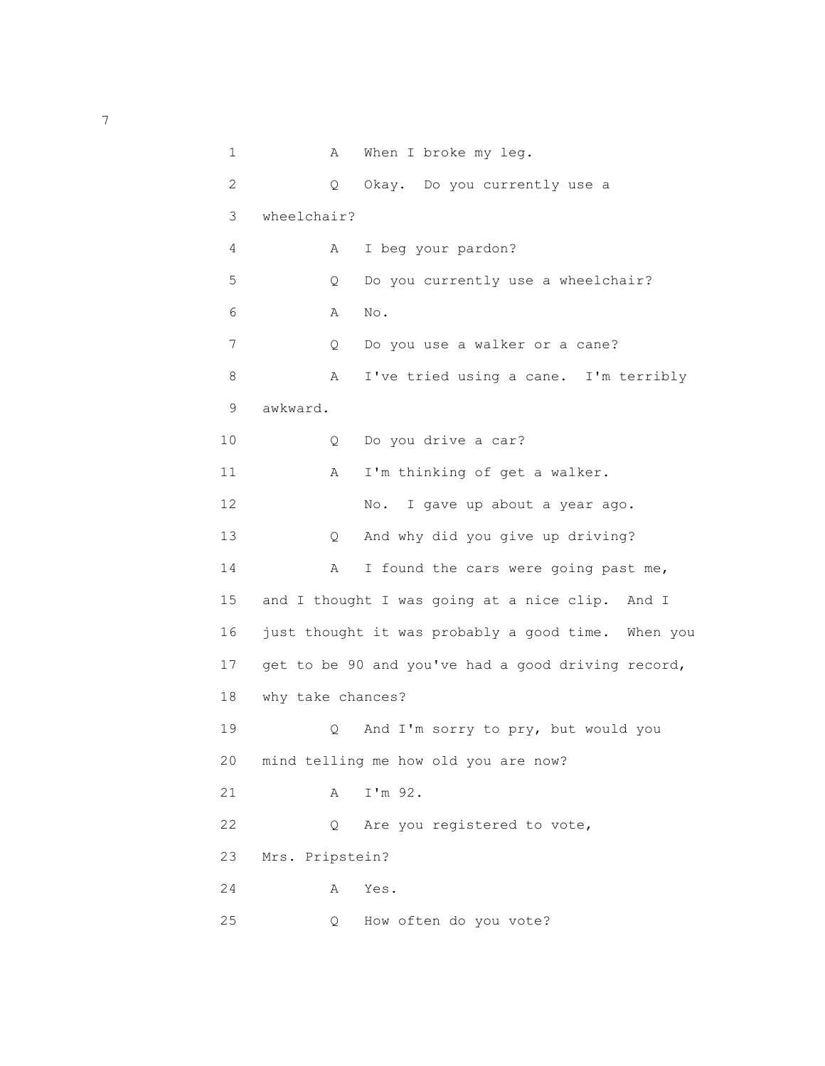```
1 A When I broke my leg.
            2 Q Okay. Do you currently use a
            3 wheelchair?
            4 A I beg your pardon?
            5 Q Do you currently use a wheelchair?
 6 A No.
            7 Q Do you use a walker or a cane?
           8 A I've tried using a cane. I'm terribly
            9 awkward.
           10 Q Do you drive a car?
          11 A I'm thinking of get a walker.
          12 No. I gave up about a year ago.
           13 Q And why did you give up driving?
          14 A I found the cars were going past me,
           15 and I thought I was going at a nice clip. And I
           16 just thought it was probably a good time. When you
           17 get to be 90 and you've had a good driving record,
           18 why take chances?
           19 Q And I'm sorry to pry, but would you
           20 mind telling me how old you are now?
           21 A I'm 92.
          22 Q Are you registered to vote,
           23 Mrs. Pripstein?
           24 A Yes.
           25 Q How often do you vote?
```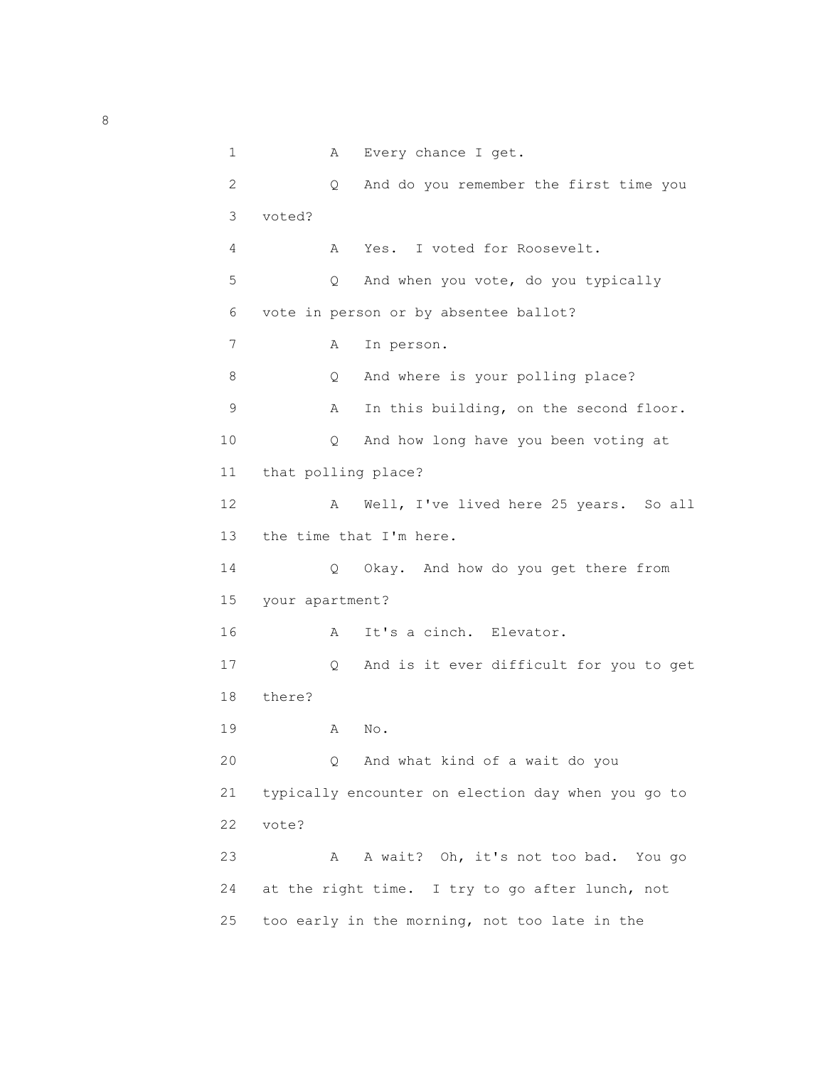| $\mathbf 1$ | Α                   | Every chance I get.                                |
|-------------|---------------------|----------------------------------------------------|
| 2           | Q.                  | And do you remember the first time you             |
| 3           | voted?              |                                                    |
| 4           | Α                   | I voted for Roosevelt.<br>Yes.                     |
| 5           | Q.                  | And when you vote, do you typically                |
| 6           |                     | vote in person or by absentee ballot?              |
| 7           | Α                   | In person.                                         |
| 8           | Q                   | And where is your polling place?                   |
| 9           | Α                   | In this building, on the second floor.             |
| 10          | Q                   | And how long have you been voting at               |
| 11          | that polling place? |                                                    |
| 12          | Α                   | Well, I've lived here 25 years. So all             |
| 13          |                     | the time that I'm here.                            |
| 14          | Q.                  | Okay. And how do you get there from                |
| 15          | your apartment?     |                                                    |
| 16          | Α                   | It's a cinch. Elevator.                            |
| 17          | $\circ$             | And is it ever difficult for you to get            |
| 18          | there?              |                                                    |
| 19          | Α                   | No.                                                |
| 20          | Q                   | And what kind of a wait do you                     |
| 21          |                     | typically encounter on election day when you go to |
| 22          | vote?               |                                                    |
| 23          | Α                   | A wait? Oh, it's not too bad. You go               |
| 24          |                     | at the right time. I try to go after lunch, not    |
| 25          |                     | too early in the morning, not too late in the      |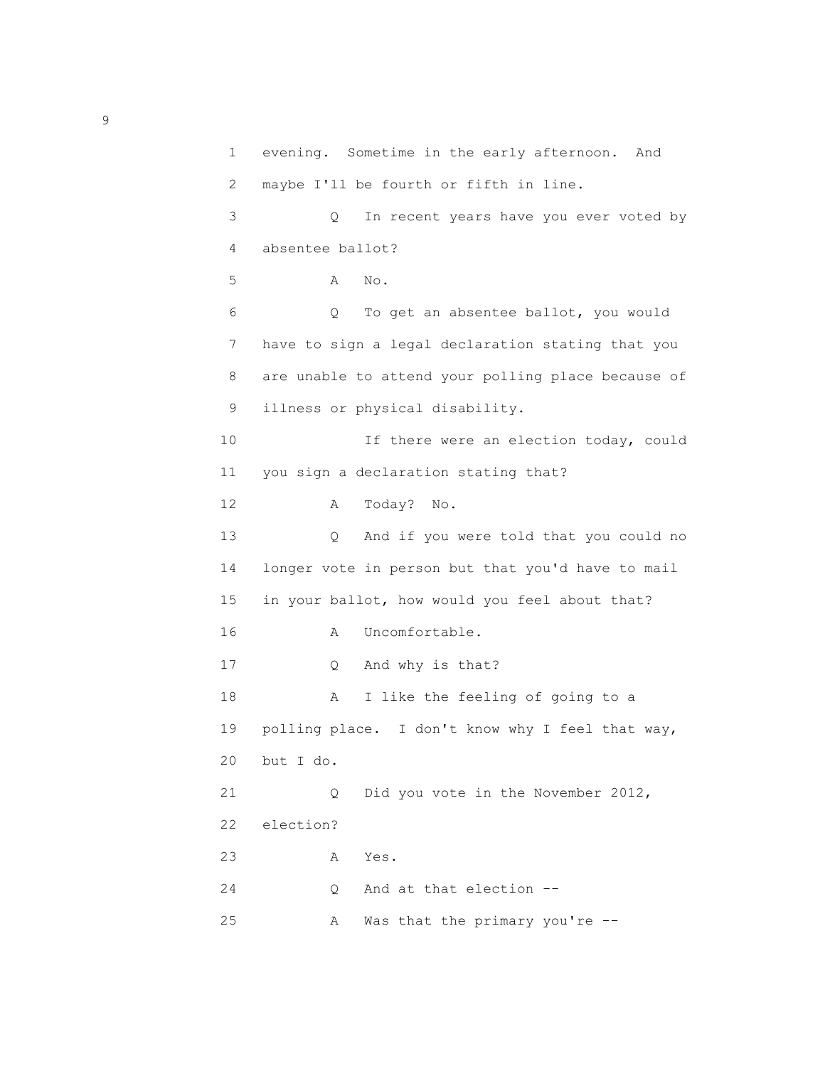```
 1 evening. Sometime in the early afternoon. And
  2 maybe I'll be fourth or fifth in line.
  3 Q In recent years have you ever voted by
  4 absentee ballot?
  5 A No.
  6 Q To get an absentee ballot, you would
  7 have to sign a legal declaration stating that you
 8 are unable to attend your polling place because of
 9 illness or physical disability.
 10 If there were an election today, could
 11 you sign a declaration stating that?
 12 A Today? No.
 13 Q And if you were told that you could no
 14 longer vote in person but that you'd have to mail
 15 in your ballot, how would you feel about that?
16 A Uncomfortable.
 17 Q And why is that?
 18 A I like the feeling of going to a
 19 polling place. I don't know why I feel that way,
 20 but I do.
 21 Q Did you vote in the November 2012,
 22 election?
 23 A Yes.
 24 Q And at that election --
 25 A Was that the primary you're --
```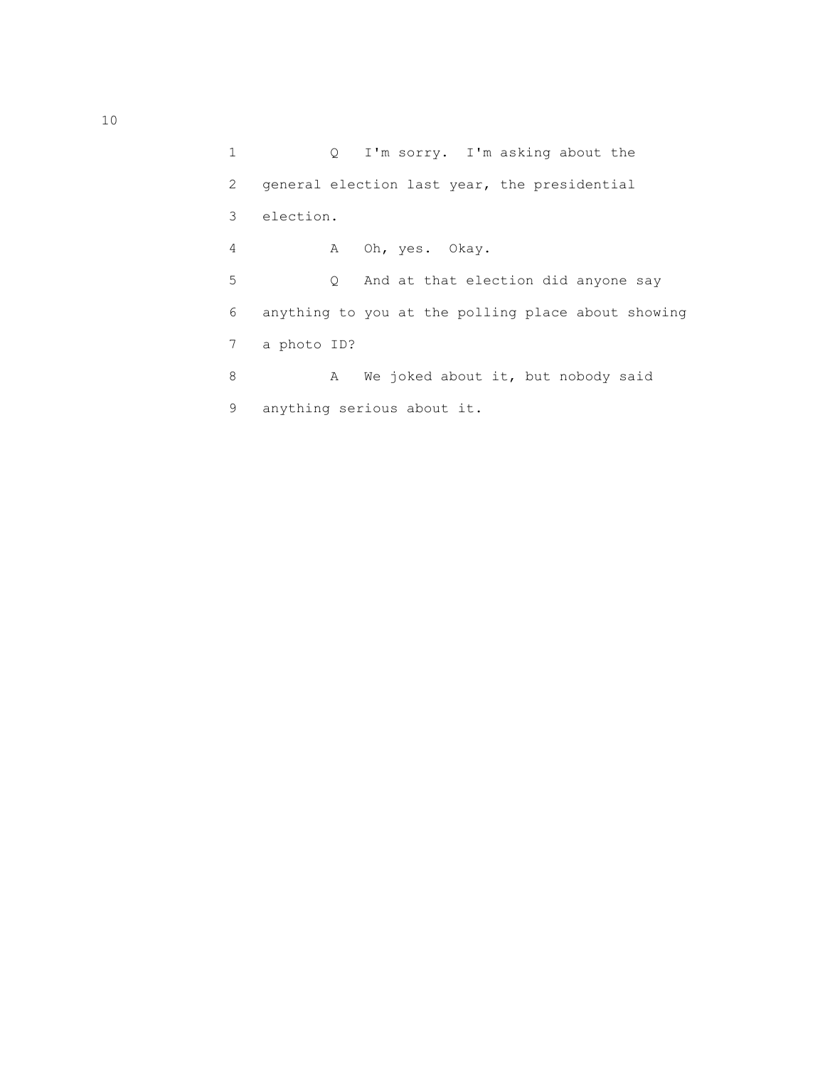1 Q I'm sorry. I'm asking about the 2 general election last year, the presidential 3 election. 4 A Oh, yes. Okay. 5 Q And at that election did anyone say 6 anything to you at the polling place about showing 7 a photo ID? 8 A We joked about it, but nobody said 9 anything serious about it.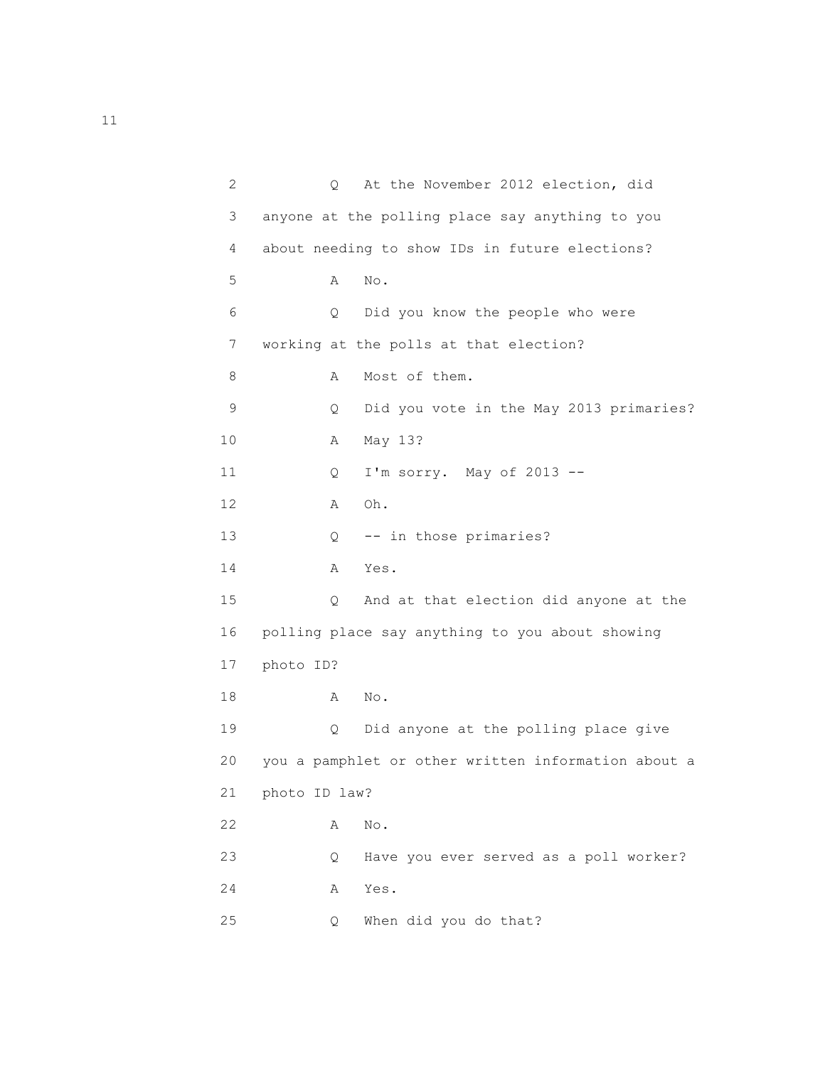| 2  | At the November 2012 election, did<br>Q             |  |
|----|-----------------------------------------------------|--|
| 3  | anyone at the polling place say anything to you     |  |
| 4  | about needing to show IDs in future elections?      |  |
| 5  | Α<br>No.                                            |  |
| 6  | Q<br>Did you know the people who were               |  |
| 7  | working at the polls at that election?              |  |
| 8  | Most of them.<br>Α                                  |  |
| 9  | Did you vote in the May 2013 primaries?<br>Q.       |  |
| 10 | May 13?<br>A                                        |  |
| 11 | I'm sorry. May of 2013 --<br>Q                      |  |
| 12 | Oh.<br>A                                            |  |
| 13 | -- in those primaries?<br>Q                         |  |
| 14 | Yes.<br>Α                                           |  |
| 15 | And at that election did anyone at the<br>Q         |  |
| 16 | polling place say anything to you about showing     |  |
| 17 | photo ID?                                           |  |
| 18 | $\mbox{No}$ .<br>Α                                  |  |
| 19 | Did anyone at the polling place give<br>Q           |  |
| 20 | you a pamphlet or other written information about a |  |
| 21 | photo ID law?                                       |  |
| 22 | No.<br>Α                                            |  |
| 23 | Have you ever served as a poll worker?<br>Q.        |  |
| 24 | Yes.<br>Α                                           |  |
| 25 | When did you do that?<br>Q.                         |  |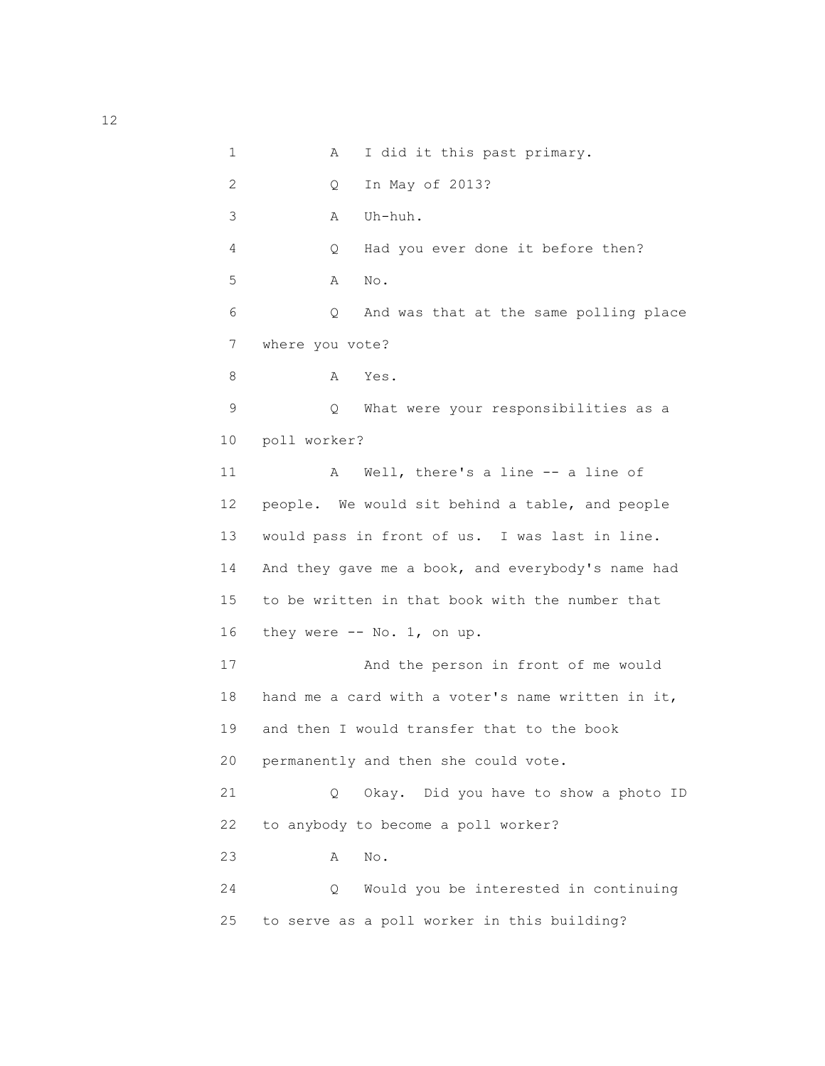1 A I did it this past primary. 2 Q In May of 2013? 3 A Uh-huh. 4 Q Had you ever done it before then? 5 A No. 6 Q And was that at the same polling place 7 where you vote? 8 A Yes. 9 Q What were your responsibilities as a 10 poll worker? 11 A Well, there's a line -- a line of 12 people. We would sit behind a table, and people 13 would pass in front of us. I was last in line. 14 And they gave me a book, and everybody's name had 15 to be written in that book with the number that 16 they were -- No. 1, on up. 17 And the person in front of me would 18 hand me a card with a voter's name written in it, 19 and then I would transfer that to the book 20 permanently and then she could vote. 21 Q Okay. Did you have to show a photo ID 22 to anybody to become a poll worker? 23 A No. 24 Q Would you be interested in continuing 25 to serve as a poll worker in this building?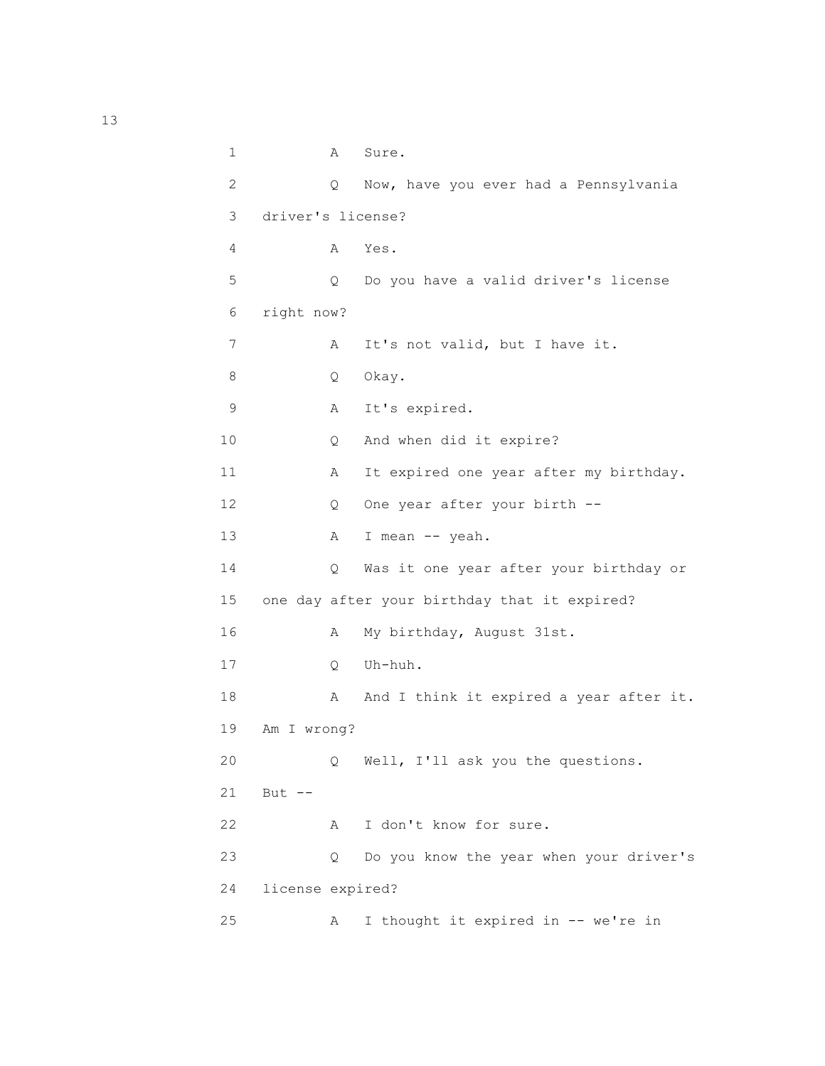1 A Sure. 2 Q Now, have you ever had a Pennsylvania 3 driver's license? 4 A Yes. 5 Q Do you have a valid driver's license 6 right now? 7 A It's not valid, but I have it. 8 Q Okay. 9 A It's expired. 10 Q And when did it expire? 11 A It expired one year after my birthday. 12 Q One year after your birth --13 A I mean -- yeah. 14 Q Was it one year after your birthday or 15 one day after your birthday that it expired? 16 A My birthday, August 31st. 17 Q Uh-huh. 18 A And I think it expired a year after it. 19 Am I wrong? 20 Q Well, I'll ask you the questions. 21 But -- 22 A I don't know for sure. 23 Q Do you know the year when your driver's 24 license expired? 25 A I thought it expired in -- we're in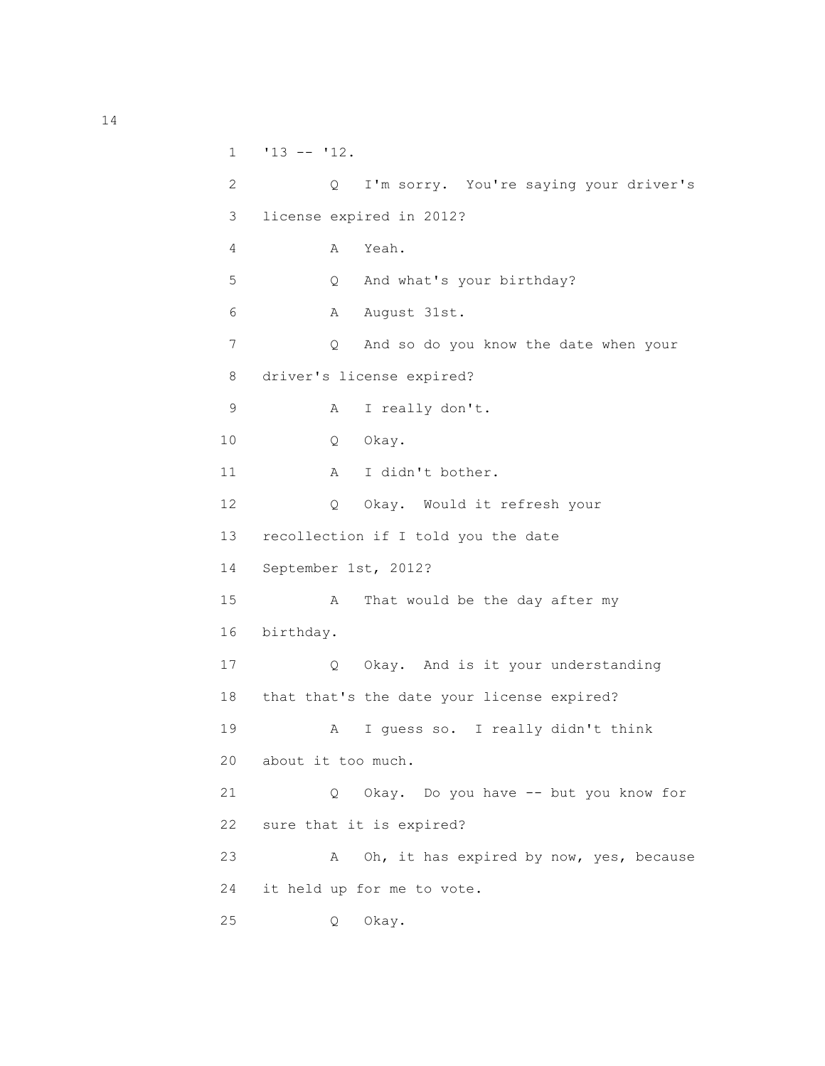```
1 \t 13 -- 12. 2 Q I'm sorry. You're saying your driver's
 3 license expired in 2012?
 4 A Yeah.
 5 Q And what's your birthday?
 6 A August 31st.
 7 Q And so do you know the date when your
 8 driver's license expired?
 9 A I really don't.
 10 Q Okay.
11 A I didn't bother.
 12 Q Okay. Would it refresh your
 13 recollection if I told you the date
 14 September 1st, 2012?
 15 A That would be the day after my
 16 birthday.
 17 Q Okay. And is it your understanding
 18 that that's the date your license expired?
 19 A I guess so. I really didn't think
 20 about it too much.
 21 Q Okay. Do you have -- but you know for
 22 sure that it is expired?
 23 A Oh, it has expired by now, yes, because
 24 it held up for me to vote.
 25 Q Okay.
```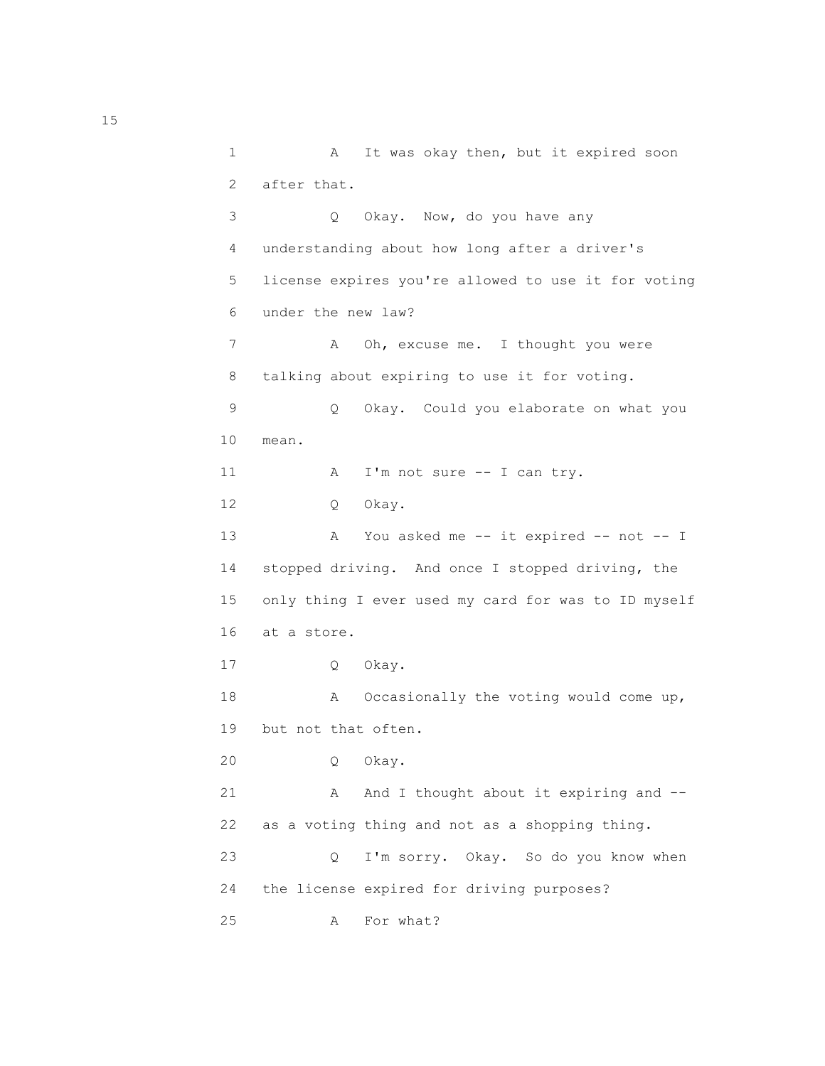1 A It was okay then, but it expired soon 2 after that. 3 Q Okay. Now, do you have any 4 understanding about how long after a driver's 5 license expires you're allowed to use it for voting 6 under the new law? 7 A Oh, excuse me. I thought you were 8 talking about expiring to use it for voting. 9 Q Okay. Could you elaborate on what you 10 mean. 11 A I'm not sure -- I can try. 12 Q Okay. 13 A You asked me -- it expired -- not -- I 14 stopped driving. And once I stopped driving, the 15 only thing I ever used my card for was to ID myself 16 at a store. 17 Q Okay. 18 A Occasionally the voting would come up, 19 but not that often. 20 Q Okay. 21 A And I thought about it expiring and -- 22 as a voting thing and not as a shopping thing. 23 Q I'm sorry. Okay. So do you know when 24 the license expired for driving purposes? 25 A For what?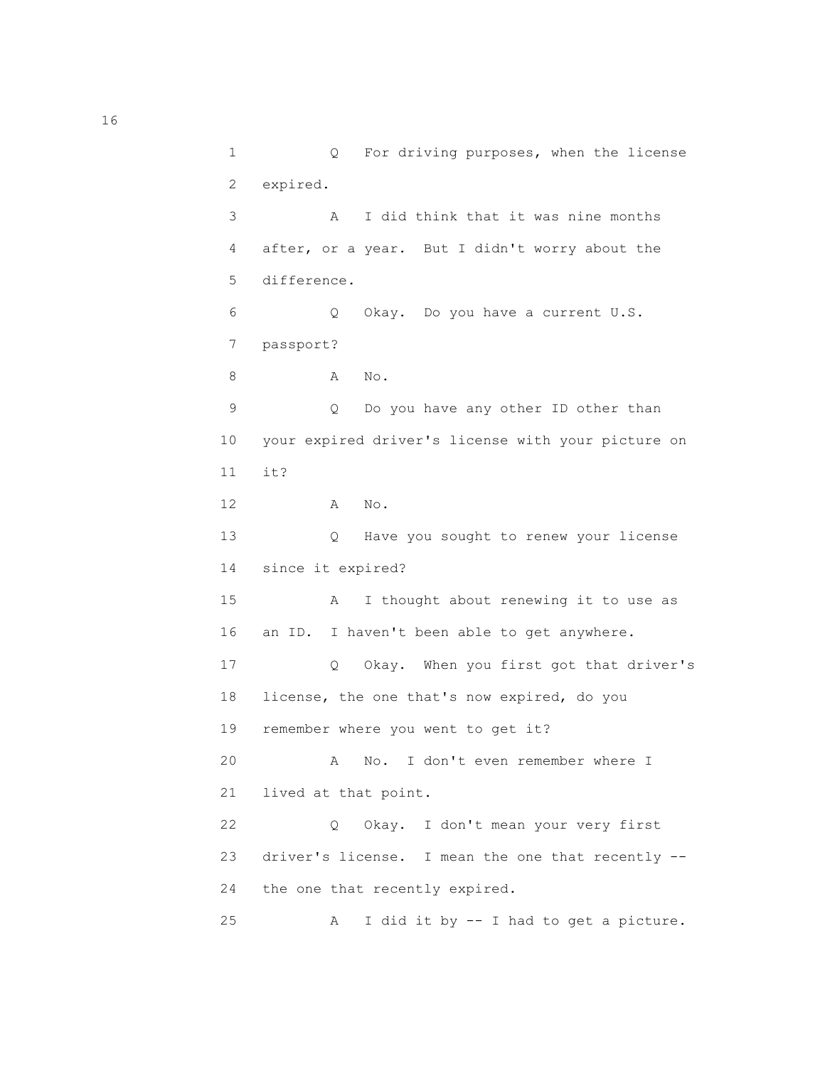1 Q For driving purposes, when the license 2 expired. 3 A I did think that it was nine months 4 after, or a year. But I didn't worry about the 5 difference. 6 Q Okay. Do you have a current U.S. 7 passport? 8 A No. 9 Q Do you have any other ID other than 10 your expired driver's license with your picture on 11 it? 12 A No. 13 Q Have you sought to renew your license 14 since it expired? 15 A I thought about renewing it to use as 16 an ID. I haven't been able to get anywhere. 17 Q Okay. When you first got that driver's 18 license, the one that's now expired, do you 19 remember where you went to get it? 20 A No. I don't even remember where I 21 lived at that point. 22 Q Okay. I don't mean your very first 23 driver's license. I mean the one that recently -- 24 the one that recently expired. 25 A I did it by -- I had to get a picture.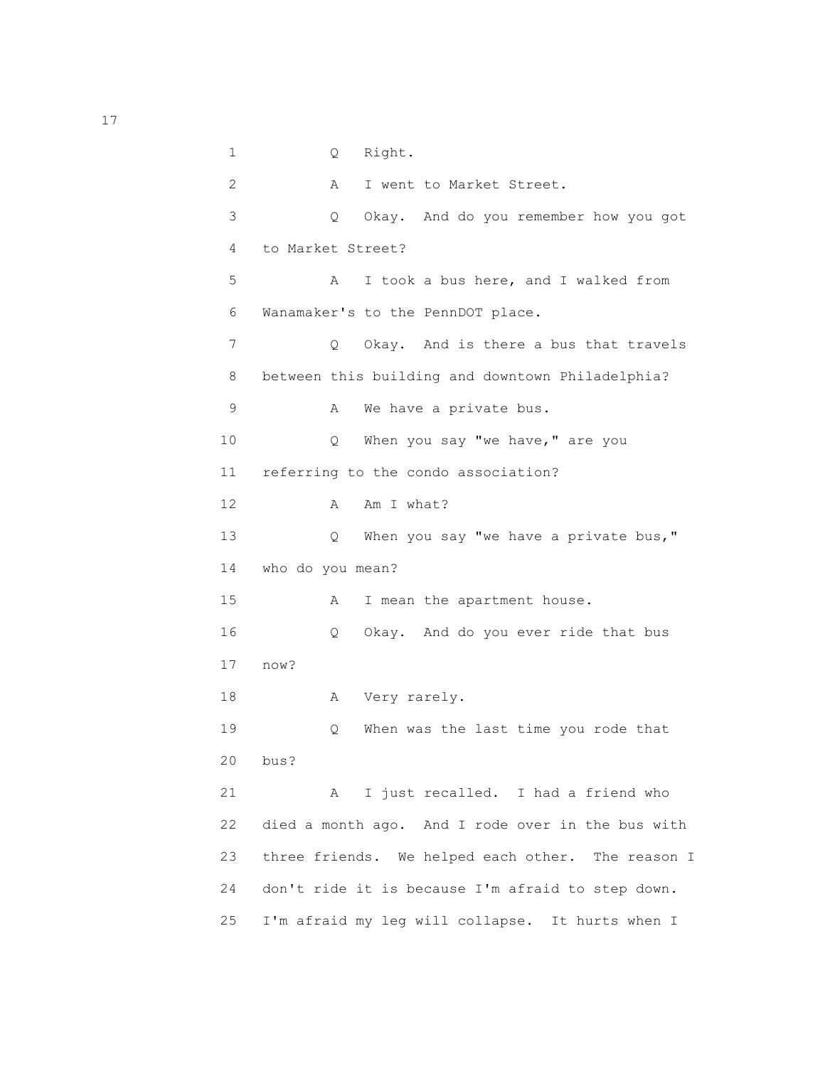1 Q Right. 2 A I went to Market Street. 3 Q Okay. And do you remember how you got 4 to Market Street? 5 A I took a bus here, and I walked from 6 Wanamaker's to the PennDOT place. 7 Q Okay. And is there a bus that travels 8 between this building and downtown Philadelphia? 9 A We have a private bus. 10 Q When you say "we have," are you 11 referring to the condo association? 12 A Am I what? 13 Q When you say "we have a private bus," 14 who do you mean? 15 A I mean the apartment house. 16 Q Okay. And do you ever ride that bus 17 now? 18 A Very rarely. 19 Q When was the last time you rode that 20 bus? 21 A I just recalled. I had a friend who 22 died a month ago. And I rode over in the bus with 23 three friends. We helped each other. The reason I 24 don't ride it is because I'm afraid to step down. 25 I'm afraid my leg will collapse. It hurts when I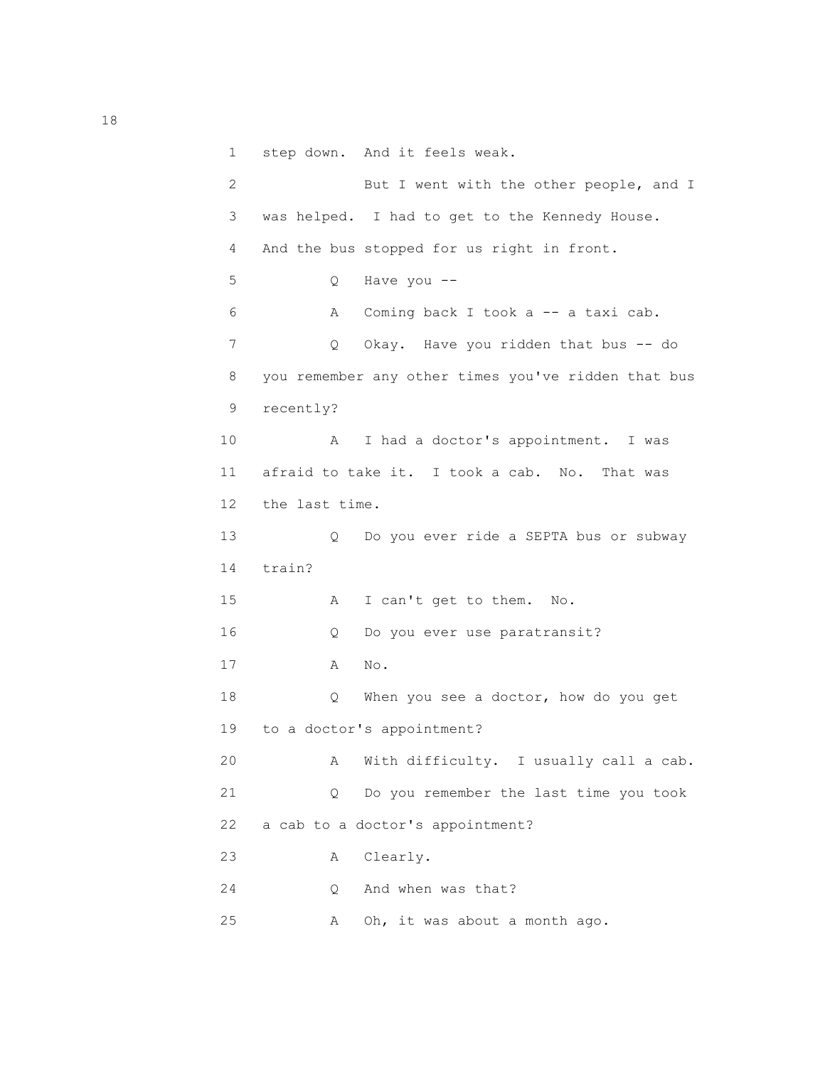1 step down. And it feels weak.

| 2               |                | But I went with the other people, and I             |
|-----------------|----------------|-----------------------------------------------------|
| 3               |                | was helped. I had to get to the Kennedy House.      |
| 4               |                | And the bus stopped for us right in front.          |
| 5               | Q.             | Have you --                                         |
| 6               | Α              | Coming back I took a -- a taxi cab.                 |
| 7               | Q.             | Okay. Have you ridden that bus -- do                |
| 8               |                | you remember any other times you've ridden that bus |
| 9               | recently?      |                                                     |
| 10              | Α              | I had a doctor's appointment. I was                 |
| 11              |                | afraid to take it. I took a cab. No. That was       |
| 12 <sup>°</sup> | the last time. |                                                     |
| 13              | Q              | Do you ever ride a SEPTA bus or subway              |
| 14              | train?         |                                                     |
| 15              | A              | I can't get to them.<br>No.                         |
| 16              | Q              | Do you ever use paratransit?                        |
| 17              | Α              | No.                                                 |
| 18              | Q              | When you see a doctor, how do you get               |
| 19              |                | to a doctor's appointment?                          |
| 20              | Α              | With difficulty. I usually call a cab.              |
| 21              | Q              | Do you remember the last time you took              |
| 22              |                | a cab to a doctor's appointment?                    |
| 23              | Α              | Clearly.                                            |
| 24              | Q.             | And when was that?                                  |
| 25              | Α              | Oh, it was about a month ago.                       |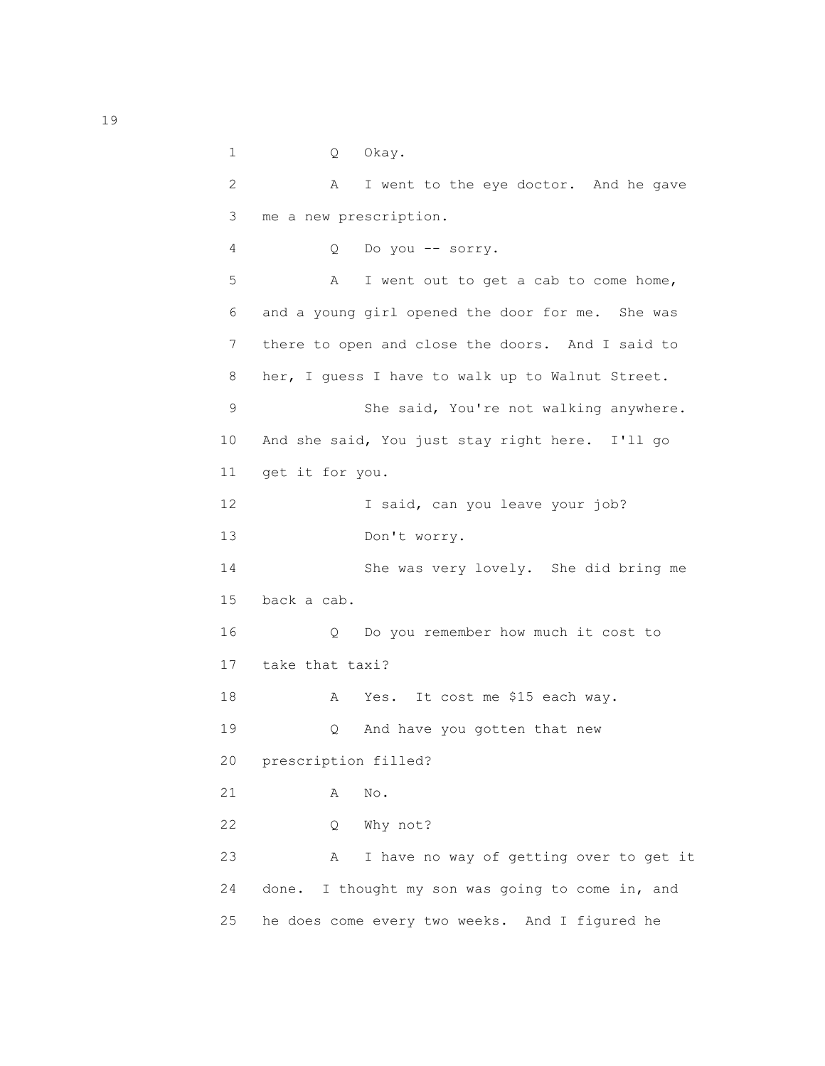1 Q Okay. 2 A I went to the eye doctor. And he gave 3 me a new prescription. 4 Q Do you -- sorry. 5 A I went out to get a cab to come home, 6 and a young girl opened the door for me. She was 7 there to open and close the doors. And I said to 8 her, I guess I have to walk up to Walnut Street. 9 She said, You're not walking anywhere. 10 And she said, You just stay right here. I'll go 11 get it for you. 12 I said, can you leave your job? 13 Don't worry. 14 She was very lovely. She did bring me 15 back a cab. 16 Q Do you remember how much it cost to 17 take that taxi? 18 A Yes. It cost me \$15 each way. 19 Q And have you gotten that new 20 prescription filled? 21 A No. 22 Q Why not? 23 A I have no way of getting over to get it 24 done. I thought my son was going to come in, and 25 he does come every two weeks. And I figured he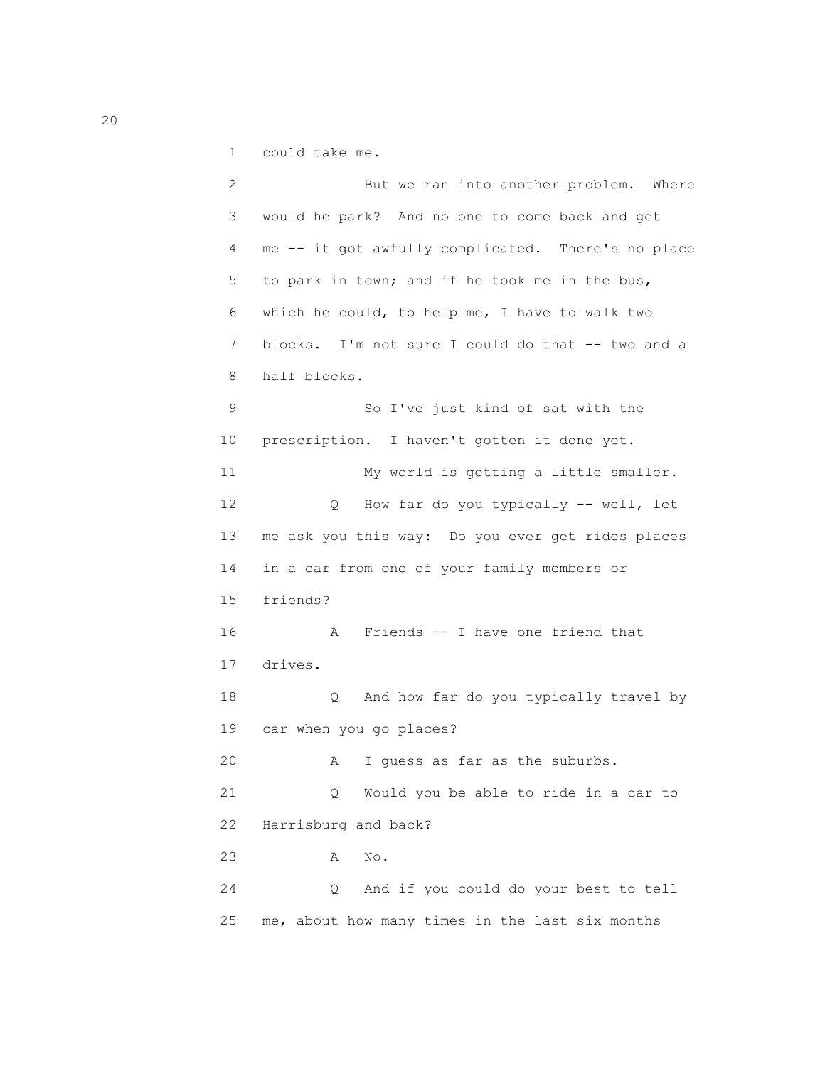1 could take me.

 2 But we ran into another problem. Where 3 would he park? And no one to come back and get 4 me -- it got awfully complicated. There's no place 5 to park in town; and if he took me in the bus, 6 which he could, to help me, I have to walk two 7 blocks. I'm not sure I could do that -- two and a 8 half blocks. 9 So I've just kind of sat with the 10 prescription. I haven't gotten it done yet. 11 My world is getting a little smaller. 12 Q How far do you typically -- well, let 13 me ask you this way: Do you ever get rides places 14 in a car from one of your family members or 15 friends? 16 A Friends -- I have one friend that 17 drives. 18 Q And how far do you typically travel by 19 car when you go places? 20 A I guess as far as the suburbs. 21 Q Would you be able to ride in a car to 22 Harrisburg and back? 23 A No. 24 Q And if you could do your best to tell 25 me, about how many times in the last six months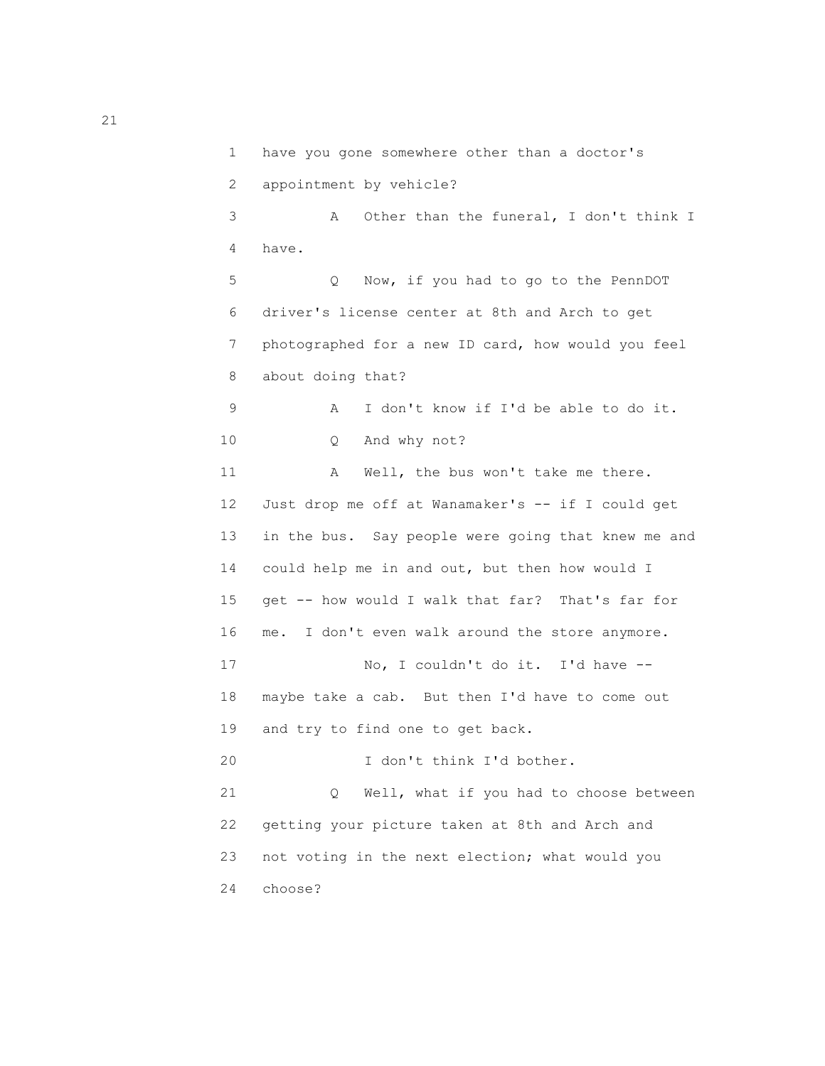1 have you gone somewhere other than a doctor's 2 appointment by vehicle? 3 A Other than the funeral, I don't think I 4 have. 5 Q Now, if you had to go to the PennDOT 6 driver's license center at 8th and Arch to get 7 photographed for a new ID card, how would you feel 8 about doing that? 9 A I don't know if I'd be able to do it. 10 Q And why not? 11 A Well, the bus won't take me there. 12 Just drop me off at Wanamaker's -- if I could get 13 in the bus. Say people were going that knew me and 14 could help me in and out, but then how would I 15 get -- how would I walk that far? That's far for 16 me. I don't even walk around the store anymore. 17 No, I couldn't do it. I'd have -- 18 maybe take a cab. But then I'd have to come out 19 and try to find one to get back. 20 I don't think I'd bother. 21 Q Well, what if you had to choose between 22 getting your picture taken at 8th and Arch and 23 not voting in the next election; what would you 24 choose?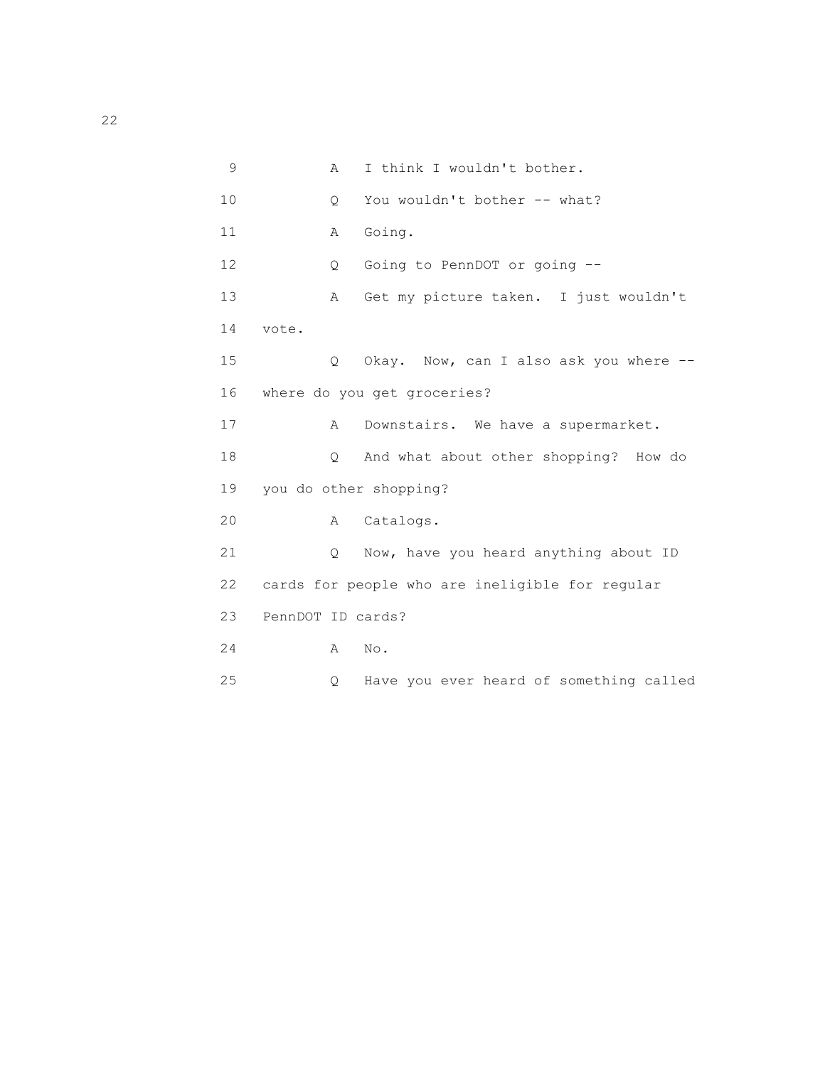| 9  | Α                      | I think I wouldn't bother.                      |
|----|------------------------|-------------------------------------------------|
| 10 | Q.                     | You wouldn't bother -- what?                    |
| 11 | Α                      | Going.                                          |
| 12 | Q                      | Going to PennDOT or going --                    |
| 13 | A                      | Get my picture taken. I just wouldn't           |
| 14 | vote.                  |                                                 |
| 15 | Q                      | Okay. Now, can I also ask you where --          |
| 16 |                        | where do you get groceries?                     |
| 17 | A                      | Downstairs. We have a supermarket.              |
| 18 | Q                      | And what about other shopping? How do           |
| 19 | you do other shopping? |                                                 |
| 20 | A                      | Catalogs.                                       |
| 21 | $\circ$                | Now, have you heard anything about ID           |
| 22 |                        | cards for people who are ineligible for regular |
| 23 | PennDOT ID cards?      |                                                 |
| 24 | Α                      | No.                                             |
| 25 | Q.                     | Have you ever heard of something called         |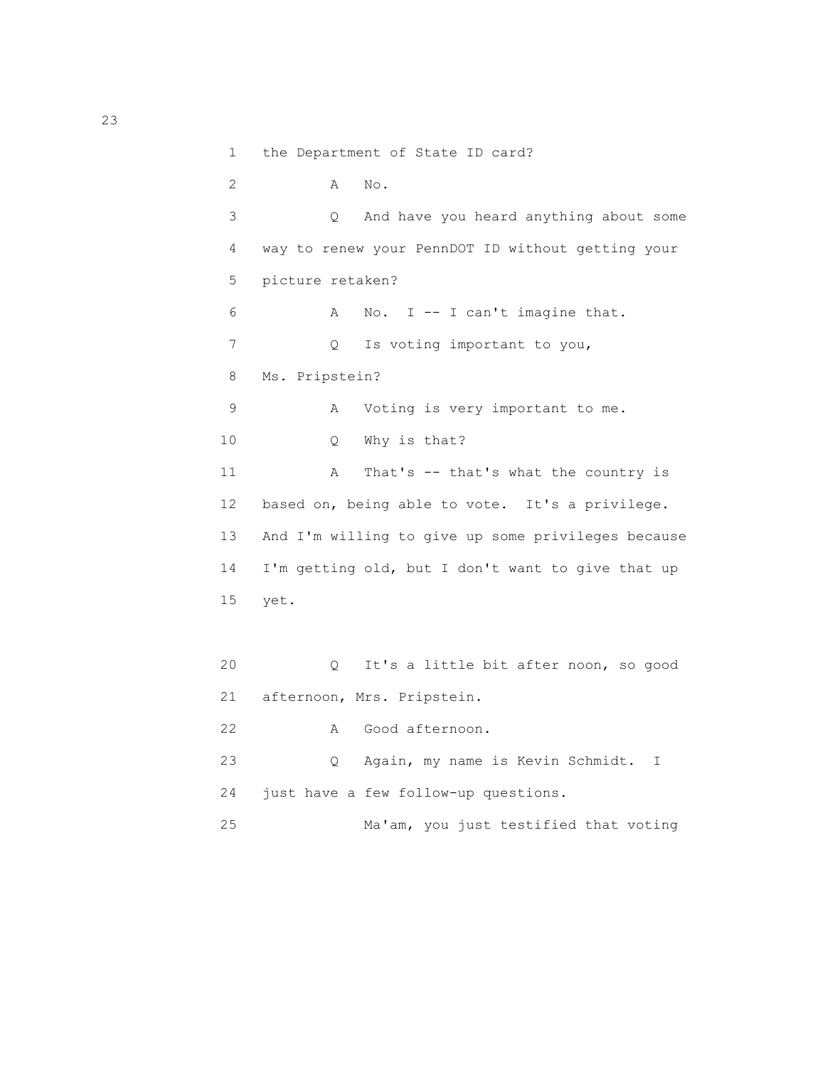```
 1 the Department of State ID card?
 2 A No.
 3 Q And have you heard anything about some
 4 way to renew your PennDOT ID without getting your
 5 picture retaken?
 6 A No. I -- I can't imagine that.
7 Q Is voting important to you,
 8 Ms. Pripstein?
 9 A Voting is very important to me.
 10 Q Why is that?
11 A That's -- that's what the country is
 12 based on, being able to vote. It's a privilege.
 13 And I'm willing to give up some privileges because
 14 I'm getting old, but I don't want to give that up
 15 yet.
 20 Q It's a little bit after noon, so good
 21 afternoon, Mrs. Pripstein.
 22 A Good afternoon.
 23 Q Again, my name is Kevin Schmidt. I
 24 just have a few follow-up questions.
 25 Ma'am, you just testified that voting
```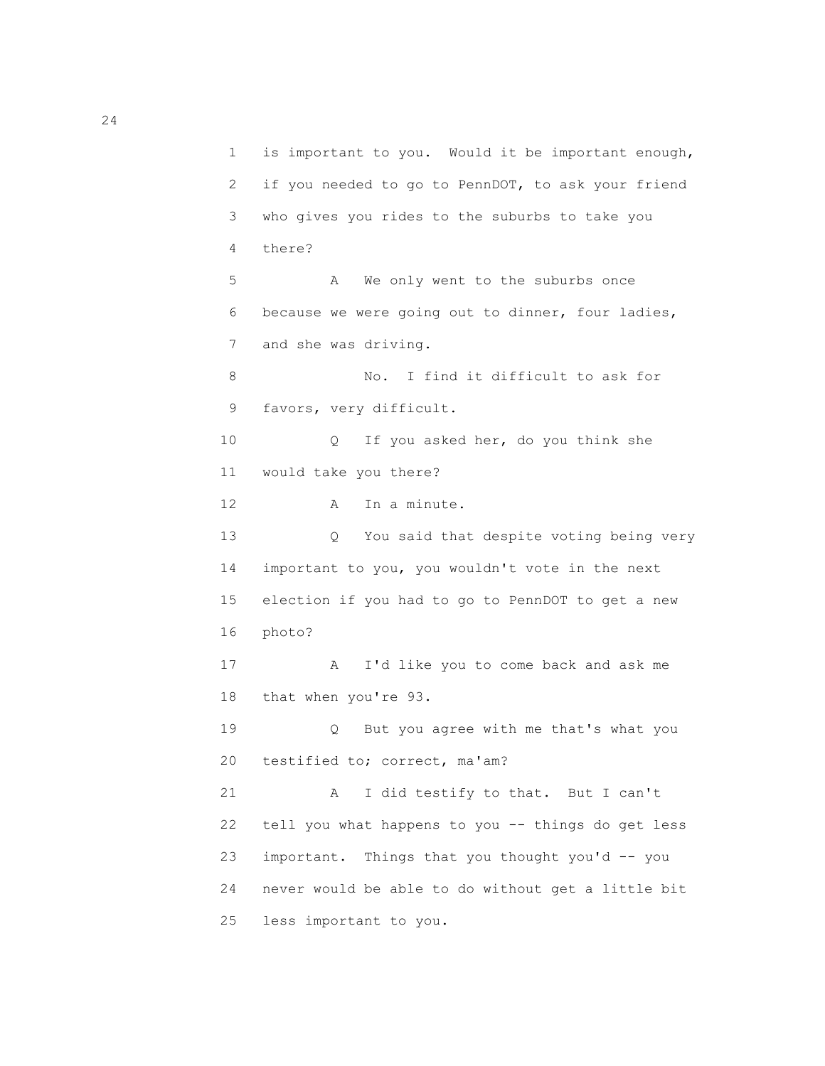1 is important to you. Would it be important enough, 2 if you needed to go to PennDOT, to ask your friend 3 who gives you rides to the suburbs to take you 4 there? 5 A We only went to the suburbs once 6 because we were going out to dinner, four ladies, 7 and she was driving. 8 No. I find it difficult to ask for 9 favors, very difficult. 10 Q If you asked her, do you think she 11 would take you there? 12 A In a minute. 13 Q You said that despite voting being very 14 important to you, you wouldn't vote in the next 15 election if you had to go to PennDOT to get a new 16 photo? 17 A I'd like you to come back and ask me 18 that when you're 93. 19 Q But you agree with me that's what you 20 testified to; correct, ma'am? 21 A I did testify to that. But I can't 22 tell you what happens to you -- things do get less 23 important. Things that you thought you'd -- you 24 never would be able to do without get a little bit 25 less important to you.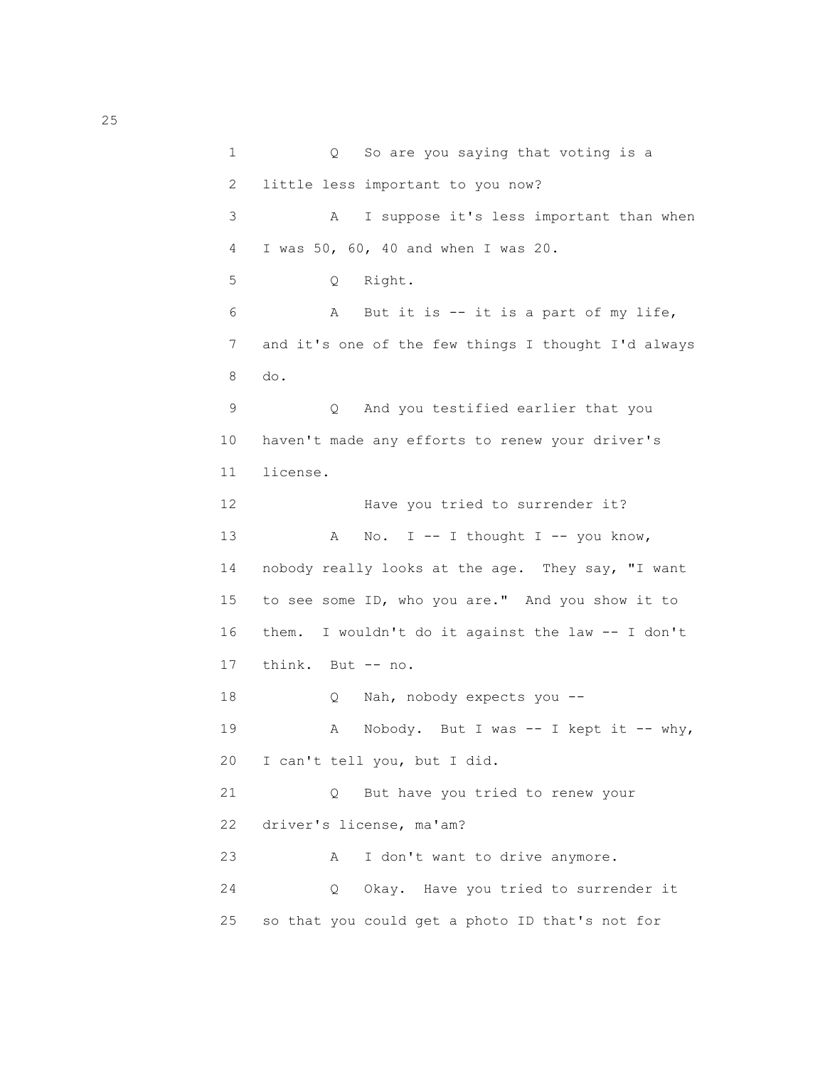1 Q So are you saying that voting is a 2 little less important to you now? 3 A I suppose it's less important than when 4 I was 50, 60, 40 and when I was 20. 5 Q Right. 6 A But it is -- it is a part of my life, 7 and it's one of the few things I thought I'd always 8 do. 9 Q And you testified earlier that you 10 haven't made any efforts to renew your driver's 11 license. 12 Have you tried to surrender it? 13 A No. I -- I thought I -- you know, 14 nobody really looks at the age. They say, "I want 15 to see some ID, who you are." And you show it to 16 them. I wouldn't do it against the law -- I don't 17 think. But -- no. 18 Q Nah, nobody expects you --19 A Nobody. But I was -- I kept it -- why, 20 I can't tell you, but I did. 21 Q But have you tried to renew your 22 driver's license, ma'am? 23 A I don't want to drive anymore. 24 Q Okay. Have you tried to surrender it 25 so that you could get a photo ID that's not for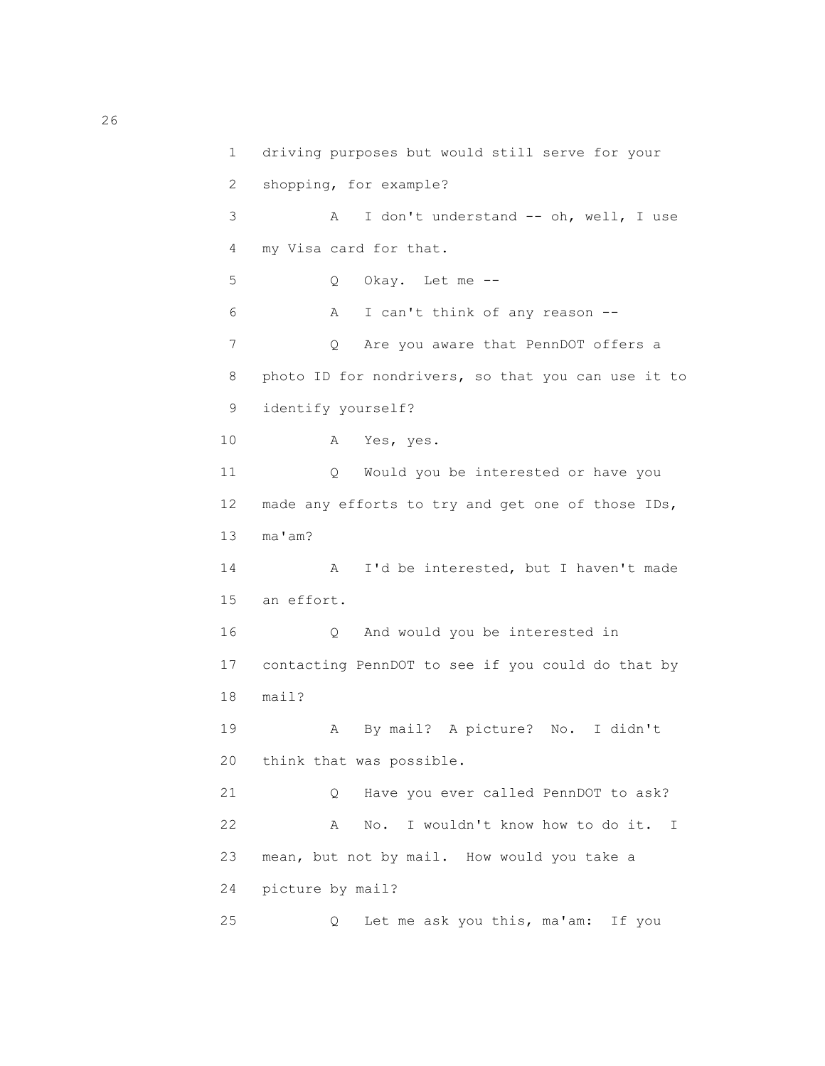1 driving purposes but would still serve for your 2 shopping, for example? 3 A I don't understand -- oh, well, I use 4 my Visa card for that. 5 Q Okay. Let me -- 6 A I can't think of any reason -- 7 Q Are you aware that PennDOT offers a 8 photo ID for nondrivers, so that you can use it to 9 identify yourself? 10 A Yes, yes. 11 Q Would you be interested or have you 12 made any efforts to try and get one of those IDs, 13 ma'am? 14 A I'd be interested, but I haven't made 15 an effort. 16 Q And would you be interested in 17 contacting PennDOT to see if you could do that by 18 mail? 19 A By mail? A picture? No. I didn't 20 think that was possible. 21 Q Have you ever called PennDOT to ask? 22 A No. I wouldn't know how to do it. I 23 mean, but not by mail. How would you take a 24 picture by mail? 25 Q Let me ask you this, ma'am: If you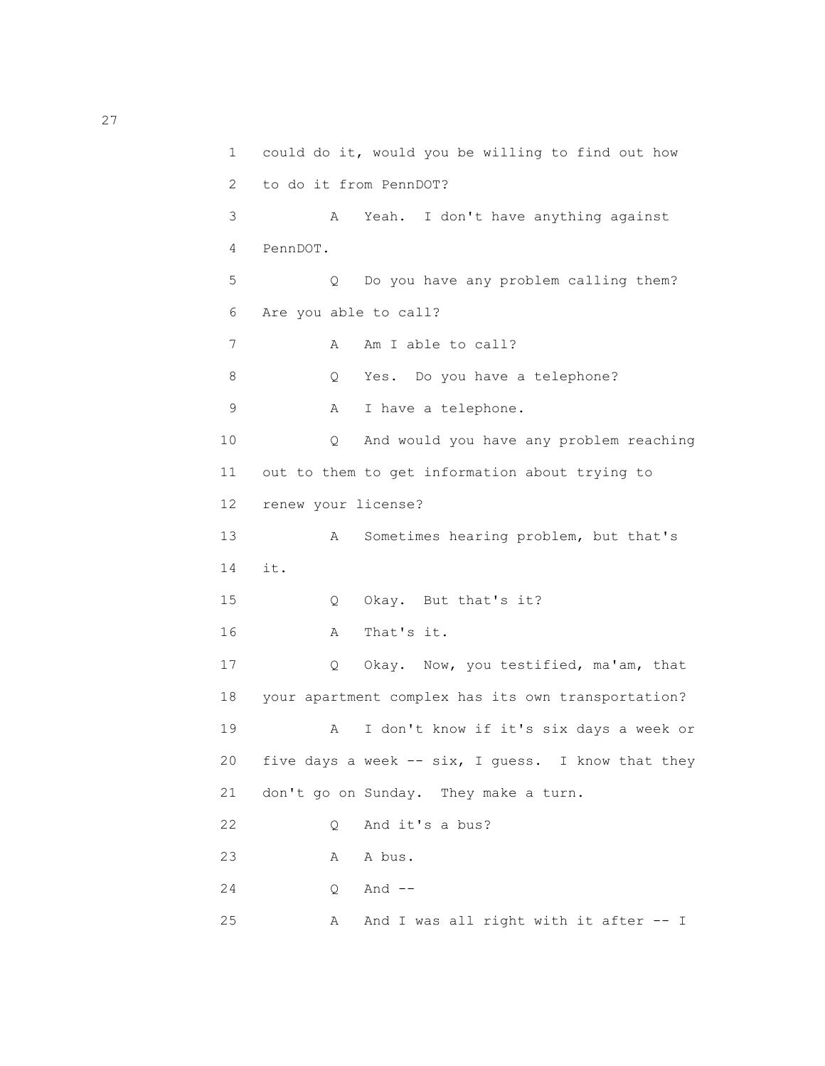1 could do it, would you be willing to find out how 2 to do it from PennDOT? 3 A Yeah. I don't have anything against 4 PennDOT. 5 Q Do you have any problem calling them? 6 Are you able to call? 7 A Am I able to call? 8 Q Yes. Do you have a telephone? 9 A I have a telephone. 10 Q And would you have any problem reaching 11 out to them to get information about trying to 12 renew your license? 13 A Sometimes hearing problem, but that's 14 it. 15 Q Okay. But that's it? 16 A That's it. 17 Q Okay. Now, you testified, ma'am, that 18 your apartment complex has its own transportation? 19 A I don't know if it's six days a week or 20 five days a week -- six, I guess. I know that they 21 don't go on Sunday. They make a turn. 22 0 And it's a bus? 23 A A bus. 24 0 And --25 A And I was all right with it after -- I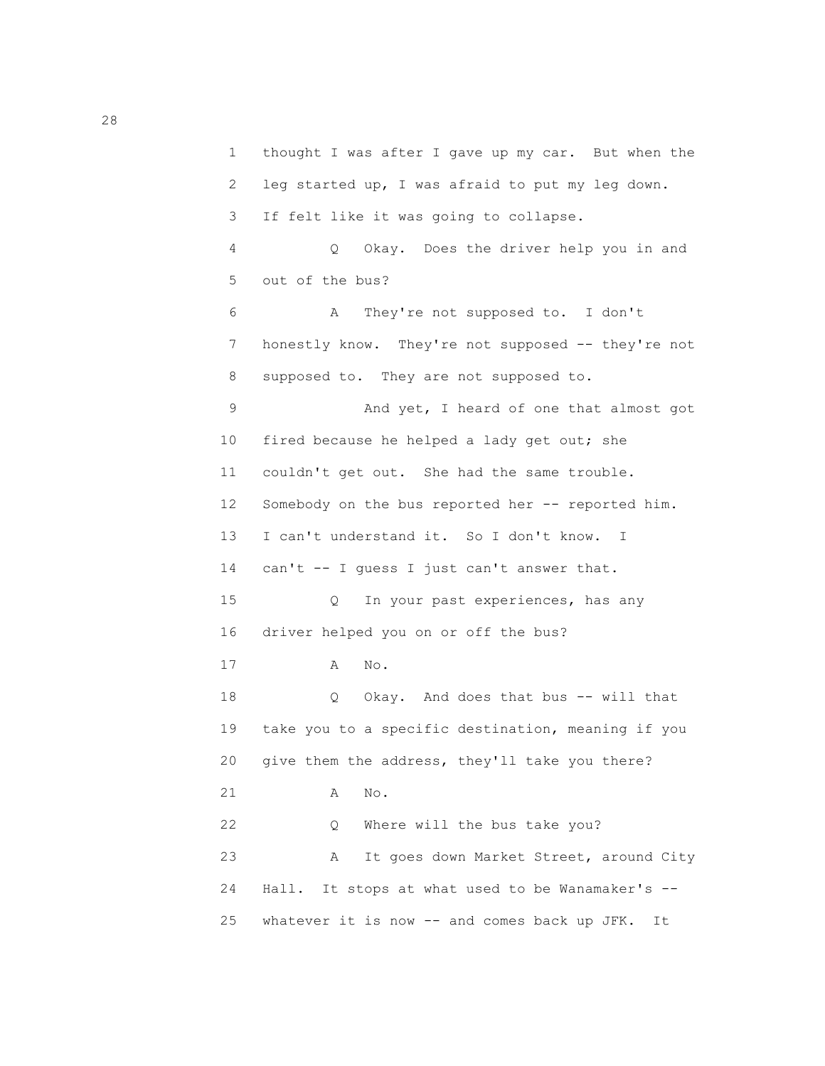1 thought I was after I gave up my car. But when the 2 leg started up, I was afraid to put my leg down. 3 If felt like it was going to collapse. 4 Q Okay. Does the driver help you in and 5 out of the bus? 6 A They're not supposed to. I don't 7 honestly know. They're not supposed -- they're not 8 supposed to. They are not supposed to. 9 And yet, I heard of one that almost got 10 fired because he helped a lady get out; she 11 couldn't get out. She had the same trouble. 12 Somebody on the bus reported her -- reported him. 13 I can't understand it. So I don't know. I 14 can't -- I guess I just can't answer that. 15 Q In your past experiences, has any 16 driver helped you on or off the bus? 17 A No. 18 Q Okay. And does that bus -- will that 19 take you to a specific destination, meaning if you 20 give them the address, they'll take you there? 21 A No. 22 Q Where will the bus take you? 23 A It goes down Market Street, around City 24 Hall. It stops at what used to be Wanamaker's -- 25 whatever it is now -- and comes back up JFK. It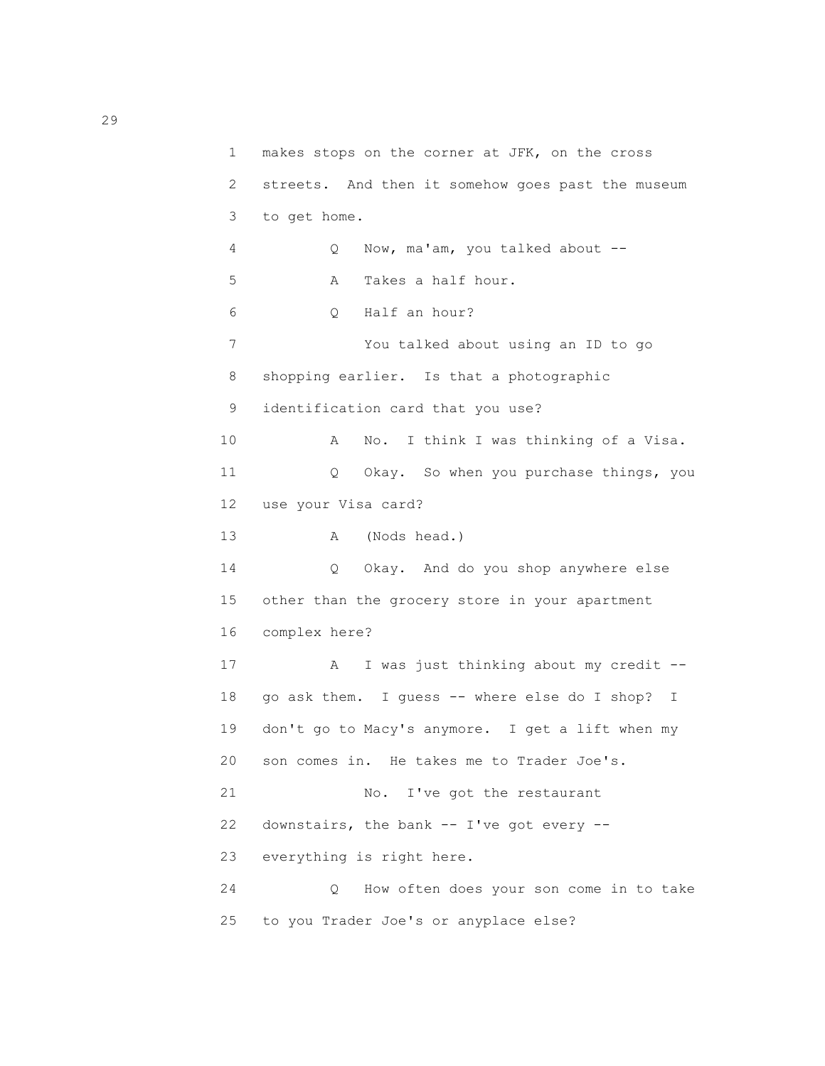```
 1 makes stops on the corner at JFK, on the cross
 2 streets. And then it somehow goes past the museum
 3 to get home.
 4 Q Now, ma'am, you talked about --
 5 A Takes a half hour.
 6 Q Half an hour?
 7 You talked about using an ID to go
 8 shopping earlier. Is that a photographic
 9 identification card that you use?
 10 A No. I think I was thinking of a Visa.
 11 Q Okay. So when you purchase things, you
 12 use your Visa card?
 13 A (Nods head.)
 14 Q Okay. And do you shop anywhere else
 15 other than the grocery store in your apartment
 16 complex here?
17 A I was just thinking about my credit --
 18 go ask them. I guess -- where else do I shop? I
 19 don't go to Macy's anymore. I get a lift when my
 20 son comes in. He takes me to Trader Joe's.
21 No. I've got the restaurant
 22 downstairs, the bank -- I've got every --
 23 everything is right here.
 24 Q How often does your son come in to take
 25 to you Trader Joe's or anyplace else?
```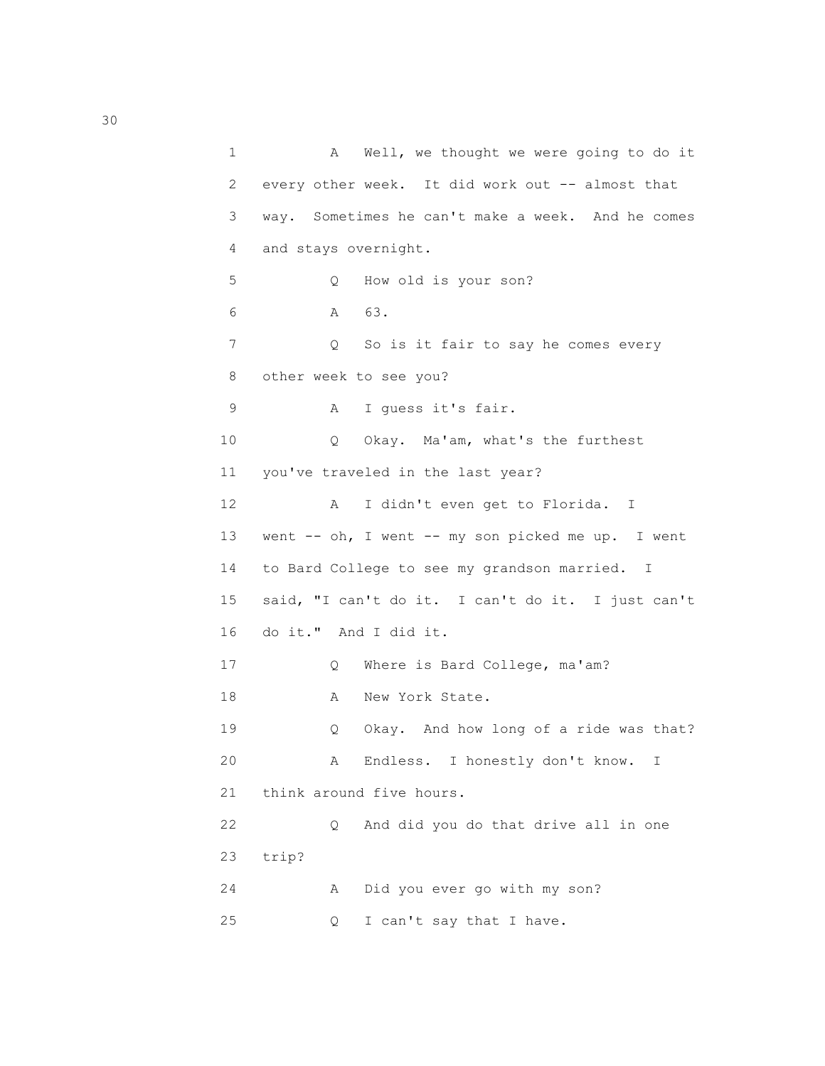| $\mathbf 1$ | Well, we thought we were going to do it<br>A      |
|-------------|---------------------------------------------------|
| 2           | every other week. It did work out -- almost that  |
| 3           | way. Sometimes he can't make a week. And he comes |
| 4           | and stays overnight.                              |
| 5           | How old is your son?<br>Q.                        |
| 6           | 63.<br>$\mathbb A$                                |
| 7           | So is it fair to say he comes every<br>Q.         |
| 8           | other week to see you?                            |
| 9           | I guess it's fair.<br>Α                           |
| 10          | Okay. Ma'am, what's the furthest<br>Q.            |
| 11          | you've traveled in the last year?                 |
| 12          | I didn't even get to Florida. I<br>Α              |
| 13          | went -- oh, I went -- my son picked me up. I went |
| 14          | to Bard College to see my grandson married. I     |
| 15          | said, "I can't do it. I can't do it. I just can't |
| 16          | do it." And I did it.                             |
| 17          | Where is Bard College, ma'am?<br>Q.               |
| 18          | New York State.<br>А                              |
| 19          | Okay. And how long of a ride was that?<br>Q.      |
| 20          | Endless. I honestly don't know.<br>А<br>I         |
| 21          | think around five hours.                          |
| 22          | And did you do that drive all in one<br>Q.        |
| 23          | trip?                                             |
| 24          | Did you ever go with my son?<br>Α                 |
| 25          | I can't say that I have.<br>Q.                    |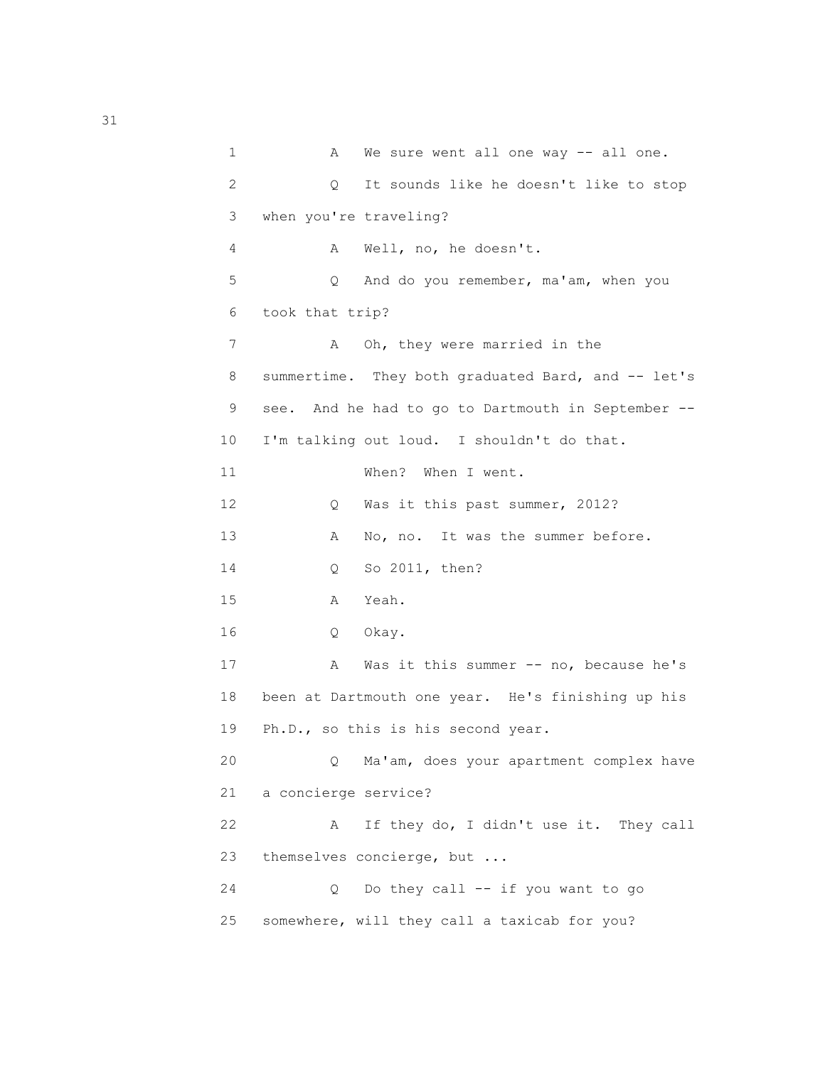1 A We sure went all one way -- all one. 2 Q It sounds like he doesn't like to stop 3 when you're traveling? 4 A Well, no, he doesn't. 5 Q And do you remember, ma'am, when you 6 took that trip? 7 A Oh, they were married in the 8 summertime. They both graduated Bard, and -- let's 9 see. And he had to go to Dartmouth in September -- 10 I'm talking out loud. I shouldn't do that. 11 When? When I went. 12 Q Was it this past summer, 2012? 13 A No, no. It was the summer before. 14 Q So 2011, then? 15 A Yeah. 16 Q Okay. 17 A Was it this summer -- no, because he's 18 been at Dartmouth one year. He's finishing up his 19 Ph.D., so this is his second year. 20 Q Ma'am, does your apartment complex have 21 a concierge service? 22 A If they do, I didn't use it. They call 23 themselves concierge, but ... 24 Q Do they call -- if you want to go 25 somewhere, will they call a taxicab for you?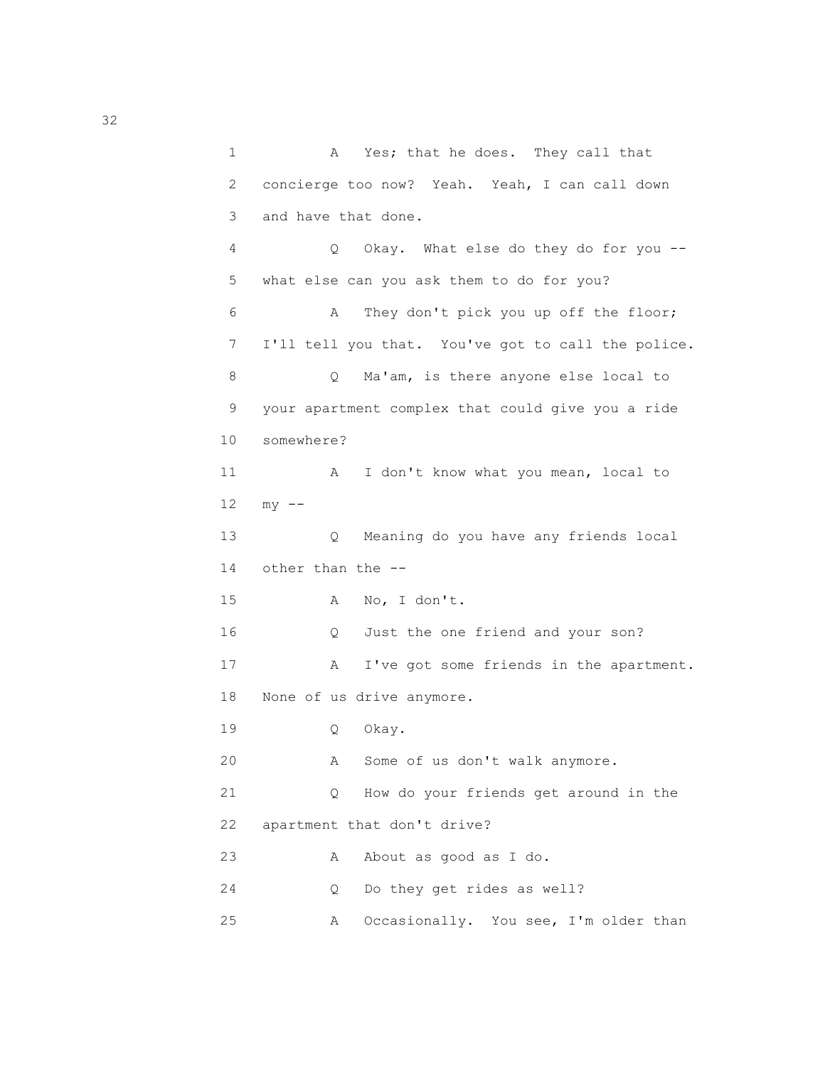1 A Yes; that he does. They call that 2 concierge too now? Yeah. Yeah, I can call down 3 and have that done. 4 Q Okay. What else do they do for you -- 5 what else can you ask them to do for you? 6 A They don't pick you up off the floor; 7 I'll tell you that. You've got to call the police. 8 Q Ma'am, is there anyone else local to 9 your apartment complex that could give you a ride 10 somewhere? 11 A I don't know what you mean, local to  $12$  my  $-$  13 Q Meaning do you have any friends local 14 other than the -- 15 A No, I don't. 16 Q Just the one friend and your son? 17 A I've got some friends in the apartment. 18 None of us drive anymore. 19 Q Okay. 20 A Some of us don't walk anymore. 21 Q How do your friends get around in the 22 apartment that don't drive? 23 A About as good as I do. 24 Q Do they get rides as well? 25 A Occasionally. You see, I'm older than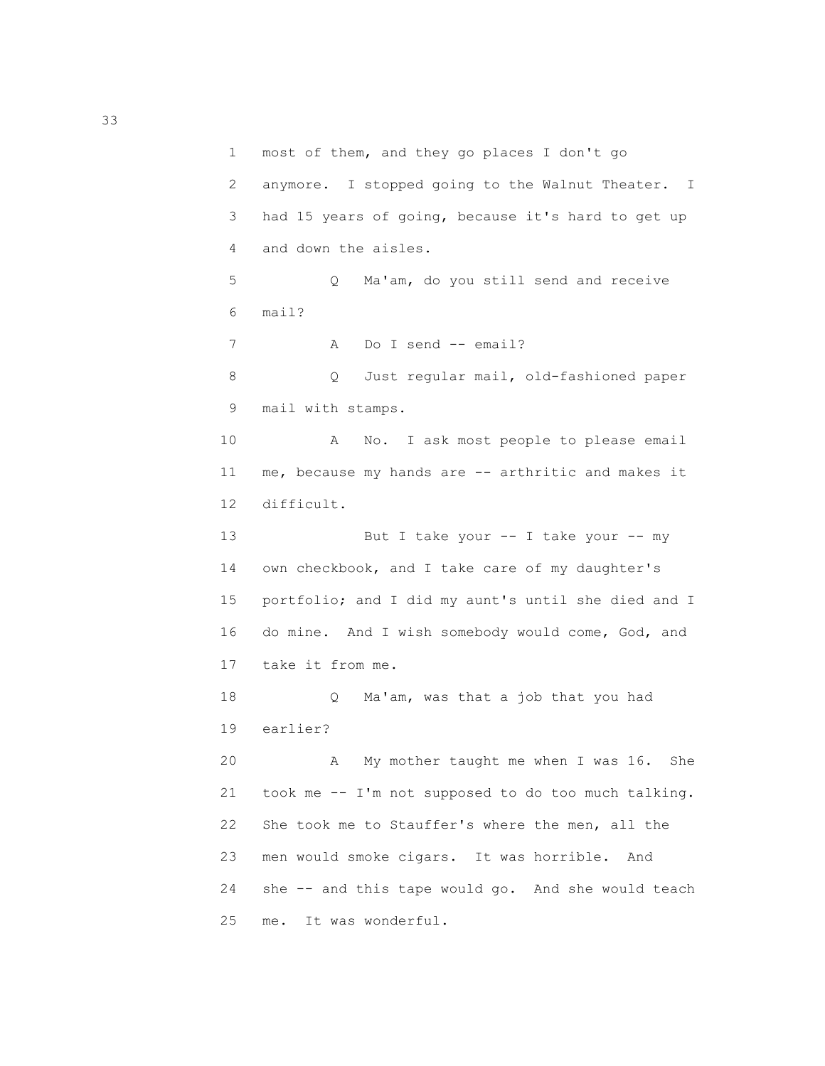1 most of them, and they go places I don't go 2 anymore. I stopped going to the Walnut Theater. I 3 had 15 years of going, because it's hard to get up 4 and down the aisles. 5 Q Ma'am, do you still send and receive 6 mail? 7 A Do I send -- email? 8 Q Just regular mail, old-fashioned paper 9 mail with stamps. 10 A No. I ask most people to please email 11 me, because my hands are -- arthritic and makes it 12 difficult. 13 But I take your -- I take your -- my 14 own checkbook, and I take care of my daughter's 15 portfolio; and I did my aunt's until she died and I 16 do mine. And I wish somebody would come, God, and 17 take it from me. 18 Q Ma'am, was that a job that you had 19 earlier? 20 A My mother taught me when I was 16. She 21 took me -- I'm not supposed to do too much talking. 22 She took me to Stauffer's where the men, all the 23 men would smoke cigars. It was horrible. And 24 she -- and this tape would go. And she would teach 25 me. It was wonderful.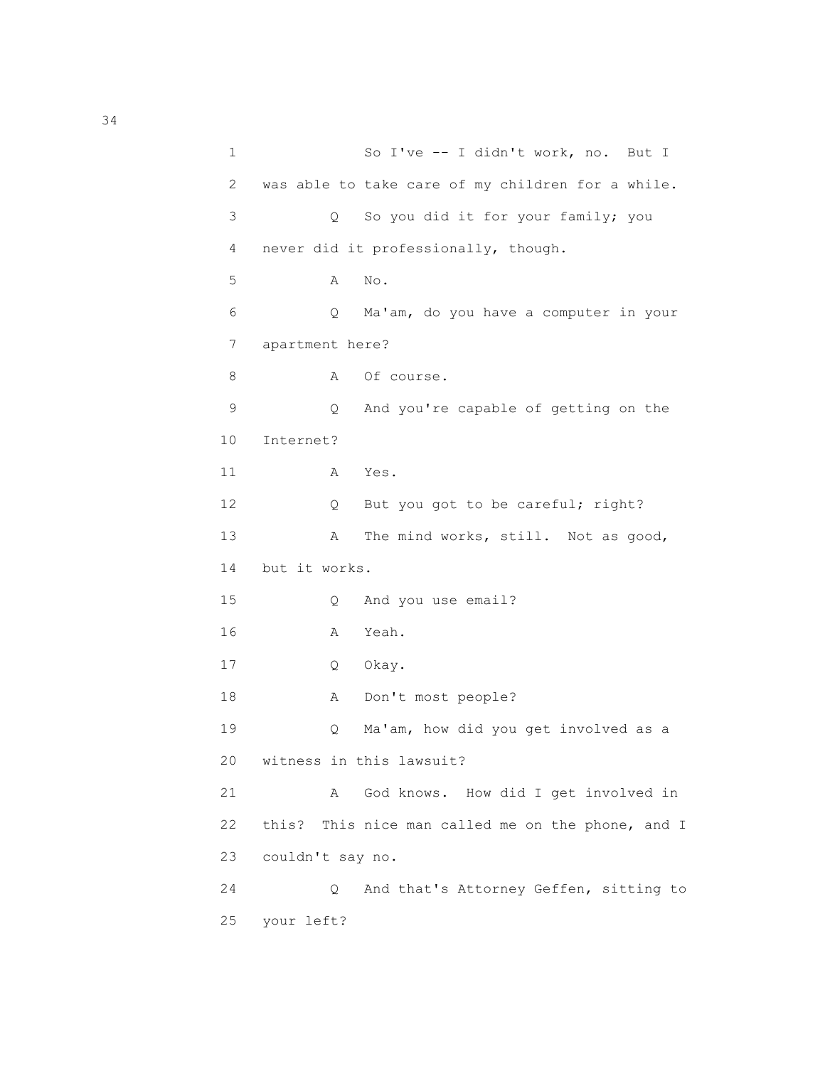1 So I've -- I didn't work, no. But I 2 was able to take care of my children for a while. 3 Q So you did it for your family; you 4 never did it professionally, though. 5 A No. 6 Q Ma'am, do you have a computer in your 7 apartment here? 8 A Of course. 9 Q And you're capable of getting on the 10 Internet? 11 A Yes. 12 Q But you got to be careful; right? 13 A The mind works, still. Not as good, 14 but it works. 15 Q And you use email? 16 A Yeah. 17 Q Okay. 18 A Don't most people? 19 Q Ma'am, how did you get involved as a 20 witness in this lawsuit? 21 A God knows. How did I get involved in 22 this? This nice man called me on the phone, and I 23 couldn't say no. 24 Q And that's Attorney Geffen, sitting to 25 your left?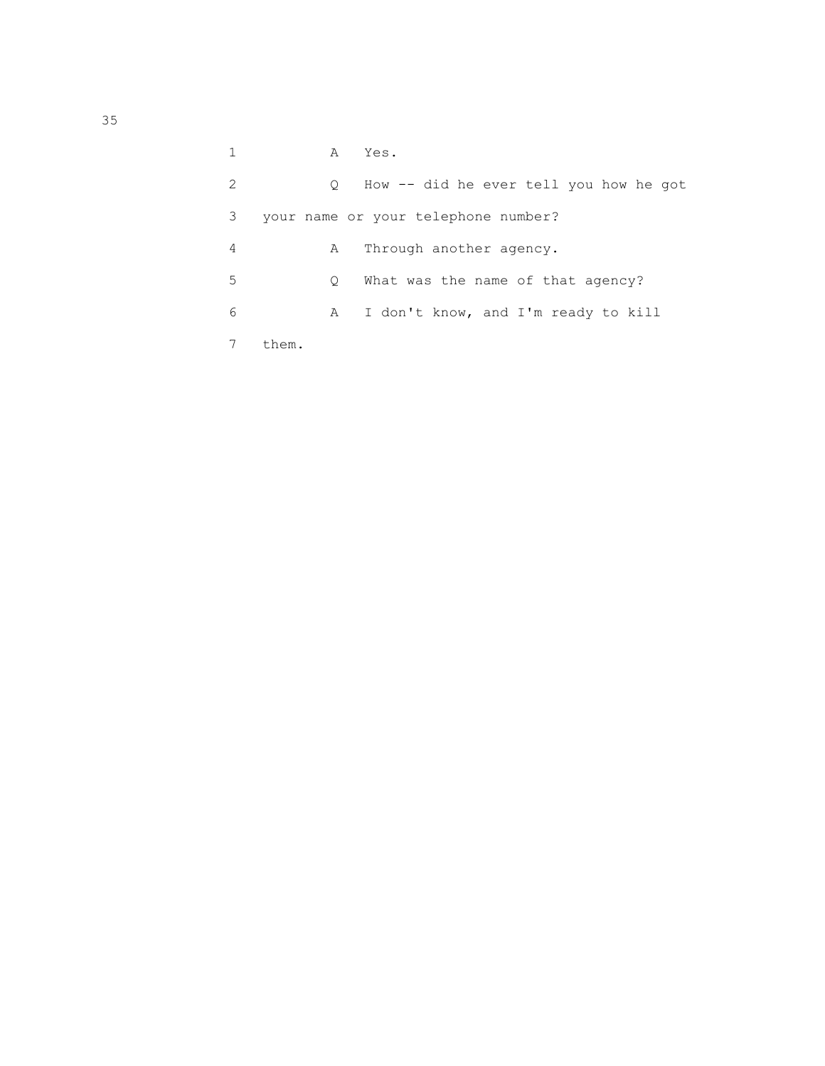|   | A       | Yes.                                   |
|---|---------|----------------------------------------|
| 2 | $\circ$ | How -- did he ever tell you how he got |
| 3 |         | your name or your telephone number?    |
| 4 | A       | Through another agency.                |
| 5 | O       | What was the name of that agency?      |
| 6 | A       | I don't know, and I'm ready to kill    |
|   | them.   |                                        |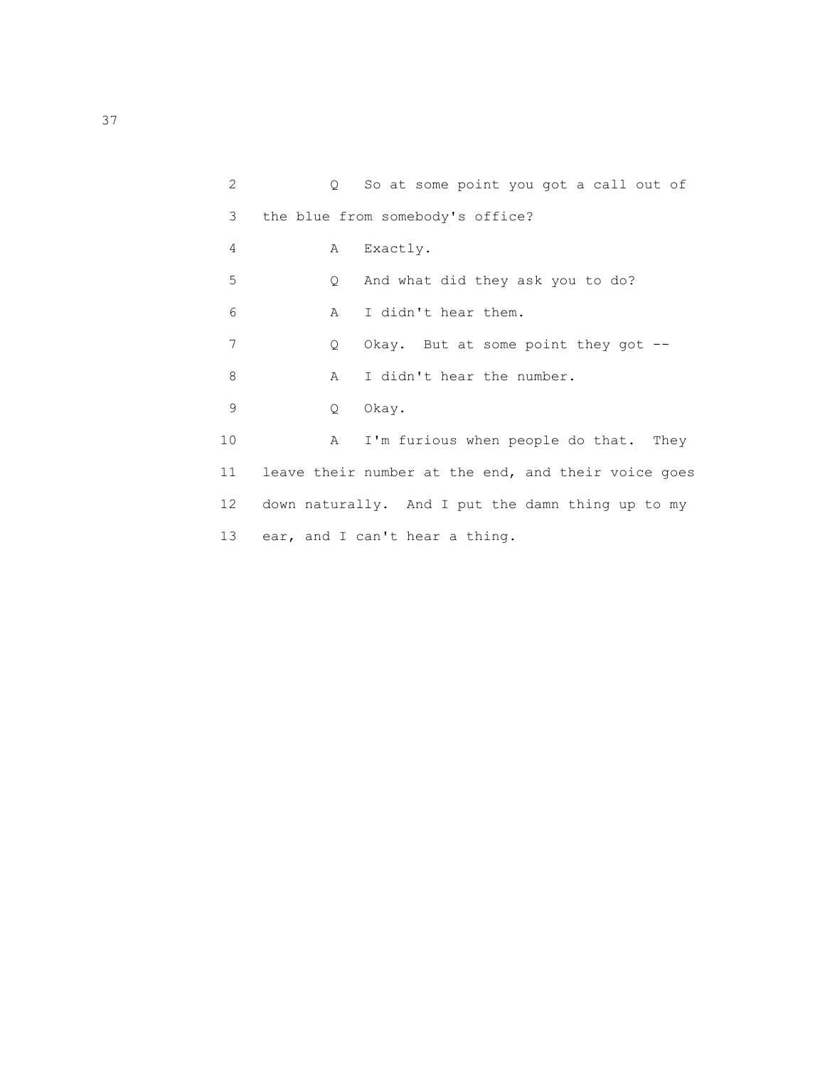| $\overline{2}$ | $\circ$     | So at some point you got a call out of              |
|----------------|-------------|-----------------------------------------------------|
| 3              |             | the blue from somebody's office?                    |
| 4              | A           | Exactly.                                            |
| 5              | $Q_{\perp}$ | And what did they ask you to do?                    |
| 6              | A           | I didn't hear them.                                 |
| 7              | Q           | Okay. But at some point they got $-$ -              |
| 8              | $\mathbb A$ | I didn't hear the number.                           |
| 9              | Q           | Okay.                                               |
| 10             | A           | I'm furious when people do that. They               |
| 11             |             | leave their number at the end, and their voice goes |
| 12             |             | down naturally. And I put the damn thing up to my   |
| 13             |             | ear, and I can't hear a thing.                      |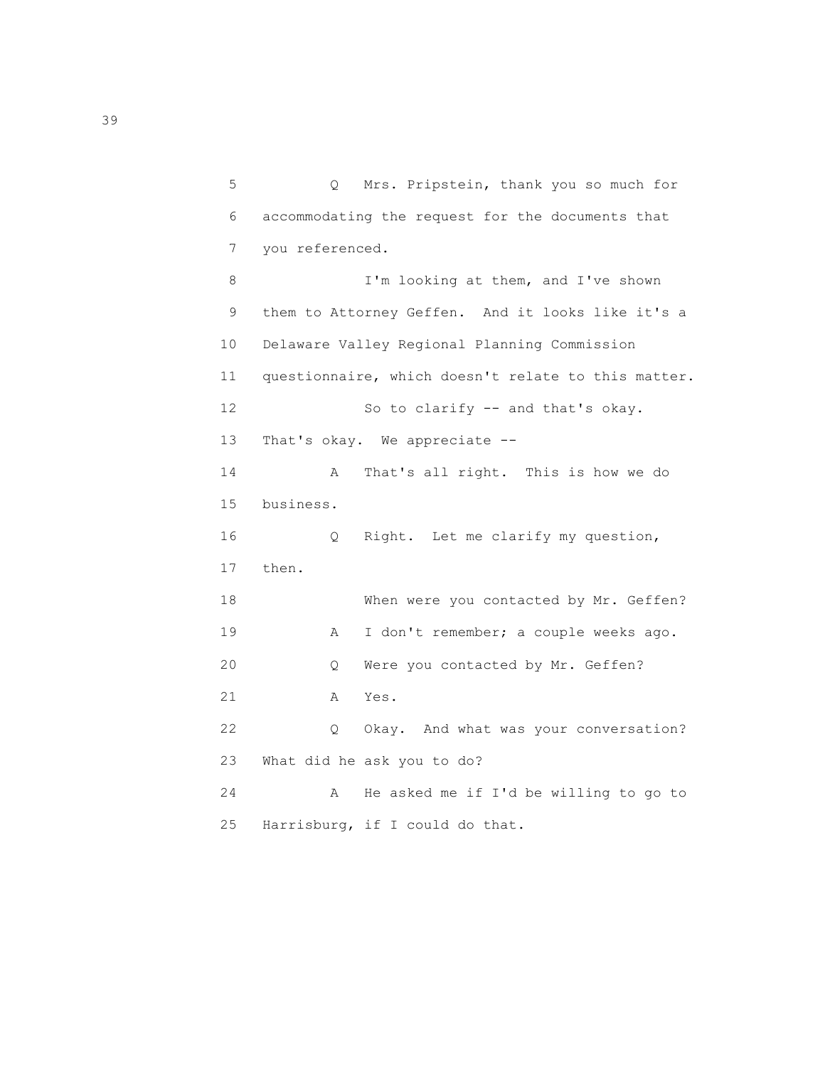5 Q Mrs. Pripstein, thank you so much for 6 accommodating the request for the documents that 7 you referenced. 8 I'm looking at them, and I've shown 9 them to Attorney Geffen. And it looks like it's a 10 Delaware Valley Regional Planning Commission 11 questionnaire, which doesn't relate to this matter. 12 So to clarify -- and that's okay. 13 That's okay. We appreciate -- 14 A That's all right. This is how we do 15 business. 16 Q Right. Let me clarify my question, 17 then. 18 When were you contacted by Mr. Geffen? 19 A I don't remember; a couple weeks ago. 20 Q Were you contacted by Mr. Geffen? 21 A Yes. 22 Q Okay. And what was your conversation? 23 What did he ask you to do? 24 A He asked me if I'd be willing to go to 25 Harrisburg, if I could do that.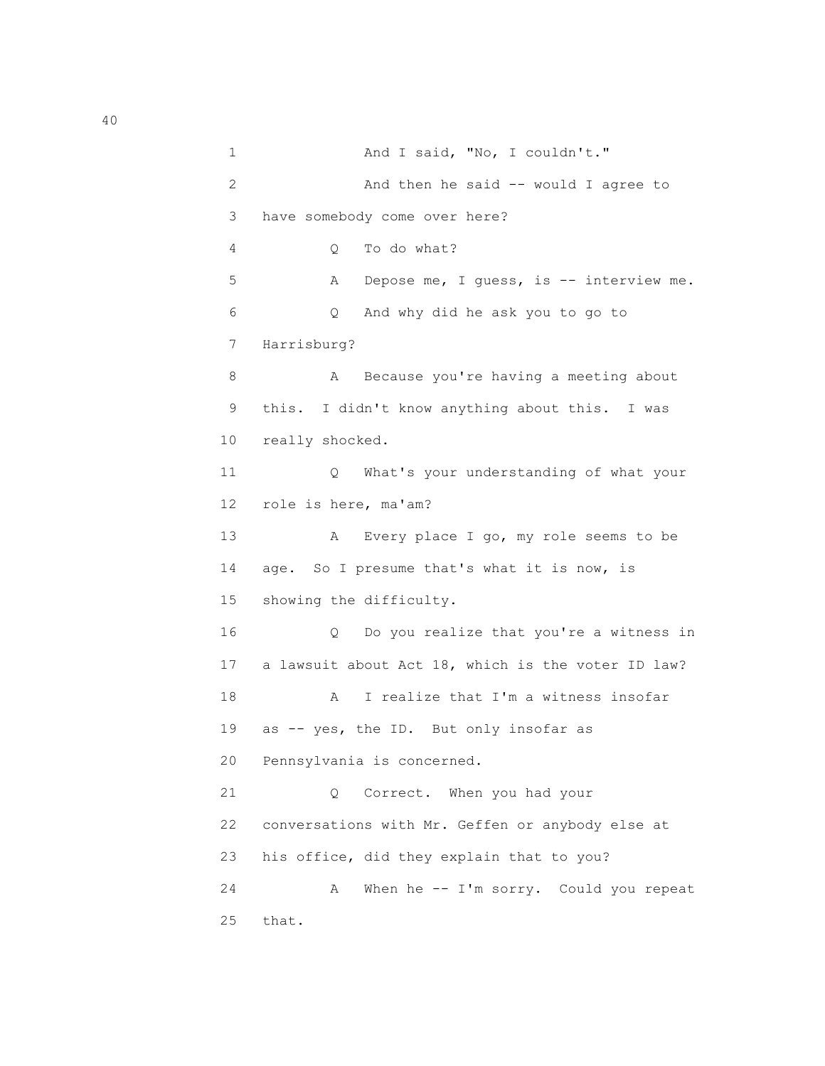1 And I said, "No, I couldn't." 2 And then he said -- would I agree to 3 have somebody come over here? 4 Q To do what? 5 A Depose me, I guess, is -- interview me. 6 Q And why did he ask you to go to 7 Harrisburg? 8 A Because you're having a meeting about 9 this. I didn't know anything about this. I was 10 really shocked. 11 Q What's your understanding of what your 12 role is here, ma'am? 13 A Every place I go, my role seems to be 14 age. So I presume that's what it is now, is 15 showing the difficulty. 16 Q Do you realize that you're a witness in 17 a lawsuit about Act 18, which is the voter ID law? 18 A I realize that I'm a witness insofar 19 as -- yes, the ID. But only insofar as 20 Pennsylvania is concerned. 21 Q Correct. When you had your 22 conversations with Mr. Geffen or anybody else at 23 his office, did they explain that to you? 24 A When he -- I'm sorry. Could you repeat 25 that.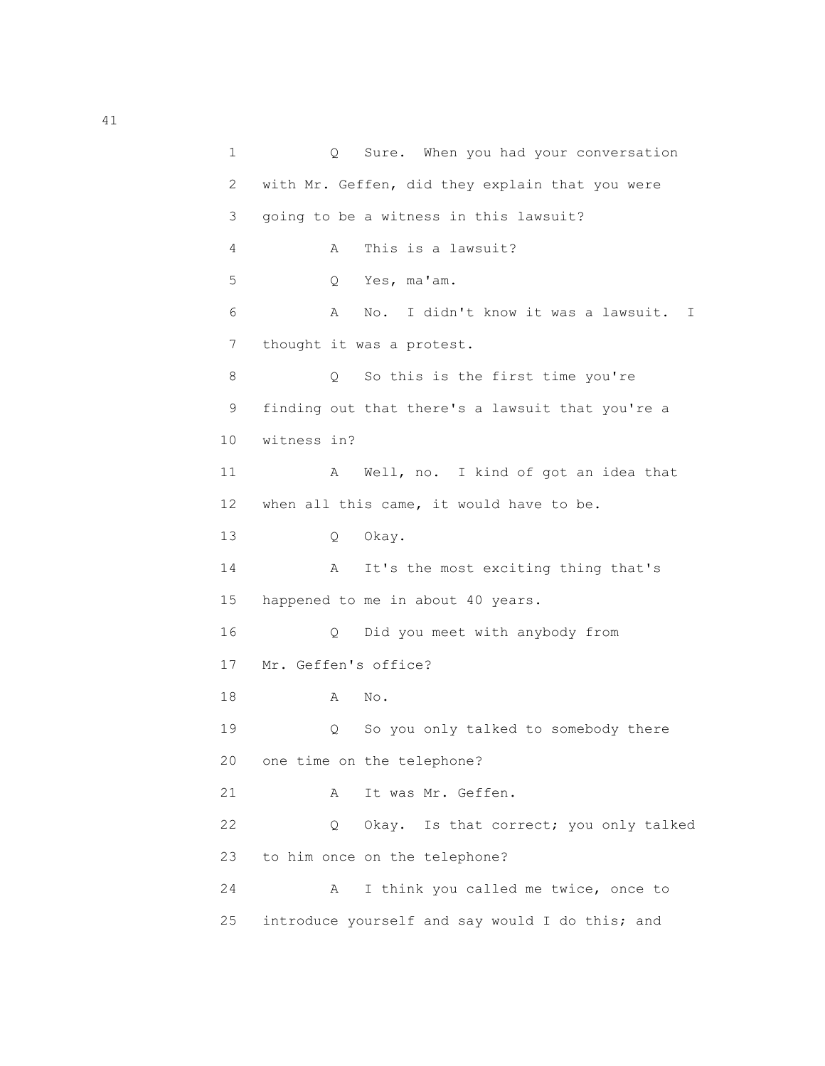1 Q Sure. When you had your conversation 2 with Mr. Geffen, did they explain that you were 3 going to be a witness in this lawsuit? 4 A This is a lawsuit? 5 Q Yes, ma'am. 6 A No. I didn't know it was a lawsuit. I 7 thought it was a protest. 8 Q So this is the first time you're 9 finding out that there's a lawsuit that you're a 10 witness in? 11 A Well, no. I kind of got an idea that 12 when all this came, it would have to be. 13 Q Okay. 14 A It's the most exciting thing that's 15 happened to me in about 40 years. 16 Q Did you meet with anybody from 17 Mr. Geffen's office? 18 A No. 19 Q So you only talked to somebody there 20 one time on the telephone? 21 A It was Mr. Geffen. 22 Q Okay. Is that correct; you only talked 23 to him once on the telephone? 24 A I think you called me twice, once to 25 introduce yourself and say would I do this; and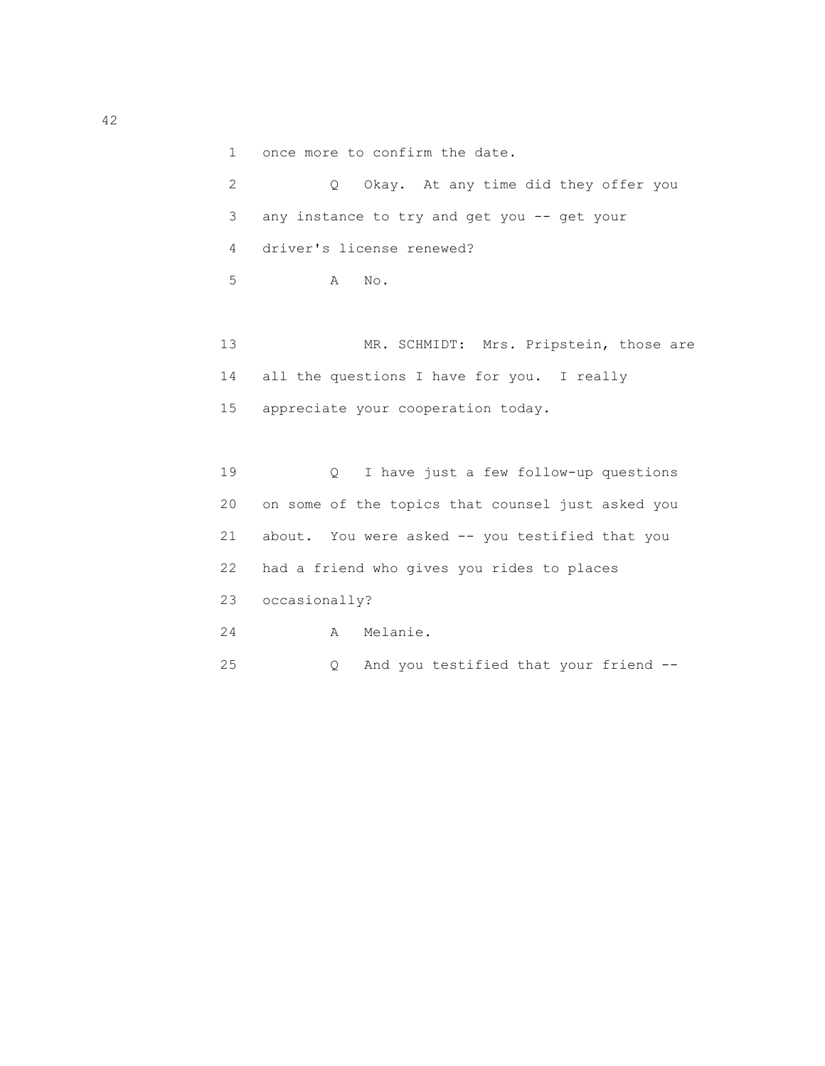1 once more to confirm the date.

| 2 — | Q Okay. At any time did they offer you        |
|-----|-----------------------------------------------|
|     | 3 any instance to try and get you -- get your |
|     | 4 driver's license renewed?                   |
|     | 5 <sup>1</sup><br>A No.                       |

13 MR. SCHMIDT: Mrs. Pripstein, those are 14 all the questions I have for you. I really 15 appreciate your cooperation today.

 19 Q I have just a few follow-up questions 20 on some of the topics that counsel just asked you 21 about. You were asked -- you testified that you 22 had a friend who gives you rides to places 23 occasionally? 24 A Melanie. 25 Q And you testified that your friend --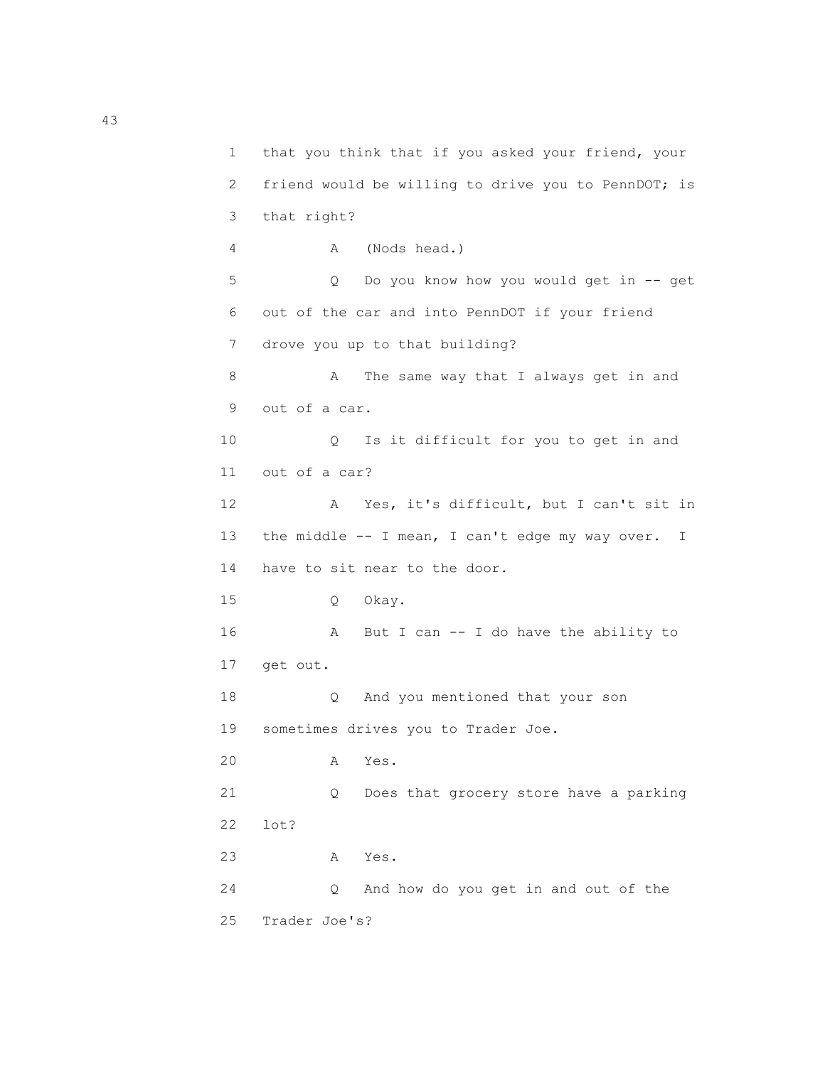1 that you think that if you asked your friend, your 2 friend would be willing to drive you to PennDOT; is 3 that right? 4 A (Nods head.) 5 Q Do you know how you would get in -- get 6 out of the car and into PennDOT if your friend 7 drove you up to that building? 8 A The same way that I always get in and 9 out of a car. 10 Q Is it difficult for you to get in and 11 out of a car? 12 A Yes, it's difficult, but I can't sit in 13 the middle -- I mean, I can't edge my way over. I 14 have to sit near to the door. 15 Q Okay. 16 A But I can -- I do have the ability to 17 get out. 18 Q And you mentioned that your son 19 sometimes drives you to Trader Joe. 20 A Yes. 21 Q Does that grocery store have a parking 22 lot? 23 A Yes. 24 Q And how do you get in and out of the 25 Trader Joe's?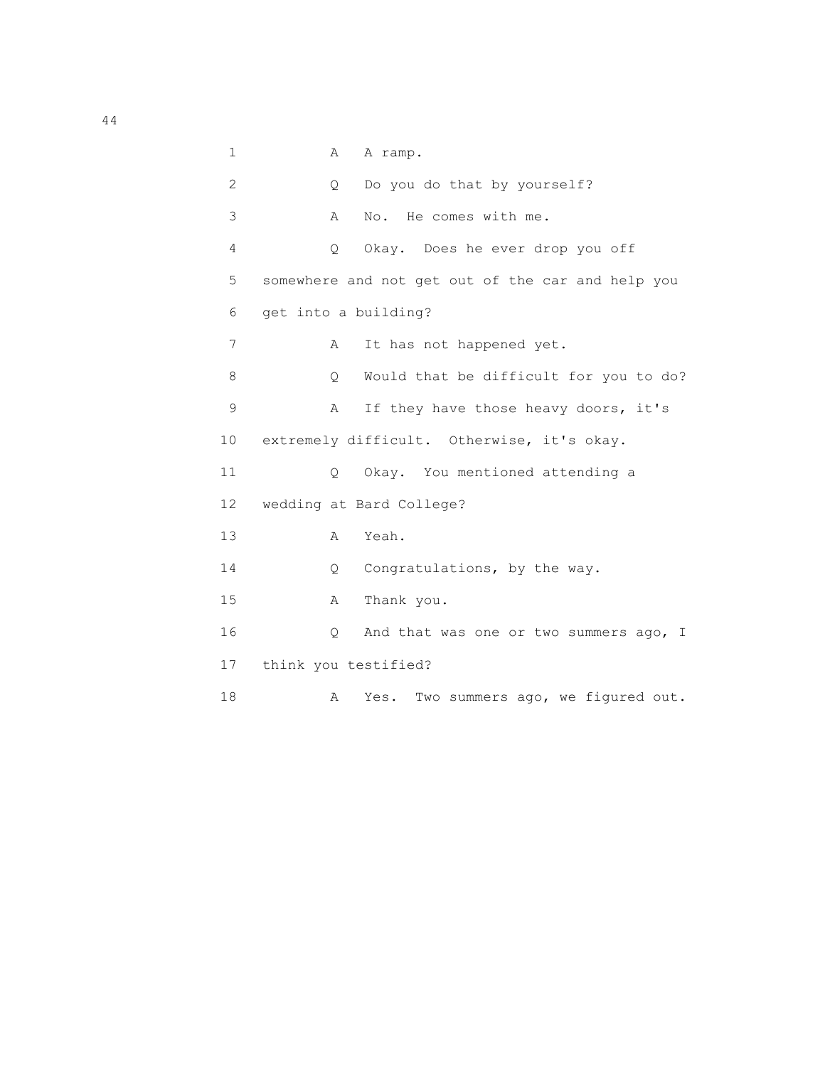1 A A ramp. 2 Q Do you do that by yourself? 3 A No. He comes with me. 4 Q Okay. Does he ever drop you off 5 somewhere and not get out of the car and help you 6 get into a building? 7 A It has not happened yet. 8 Q Would that be difficult for you to do? 9 A If they have those heavy doors, it's 10 extremely difficult. Otherwise, it's okay. 11 Q Okay. You mentioned attending a 12 wedding at Bard College? 13 A Yeah. 14 Q Congratulations, by the way. 15 A Thank you. 16 Q And that was one or two summers ago, I 17 think you testified? 18 A Yes. Two summers ago, we figured out.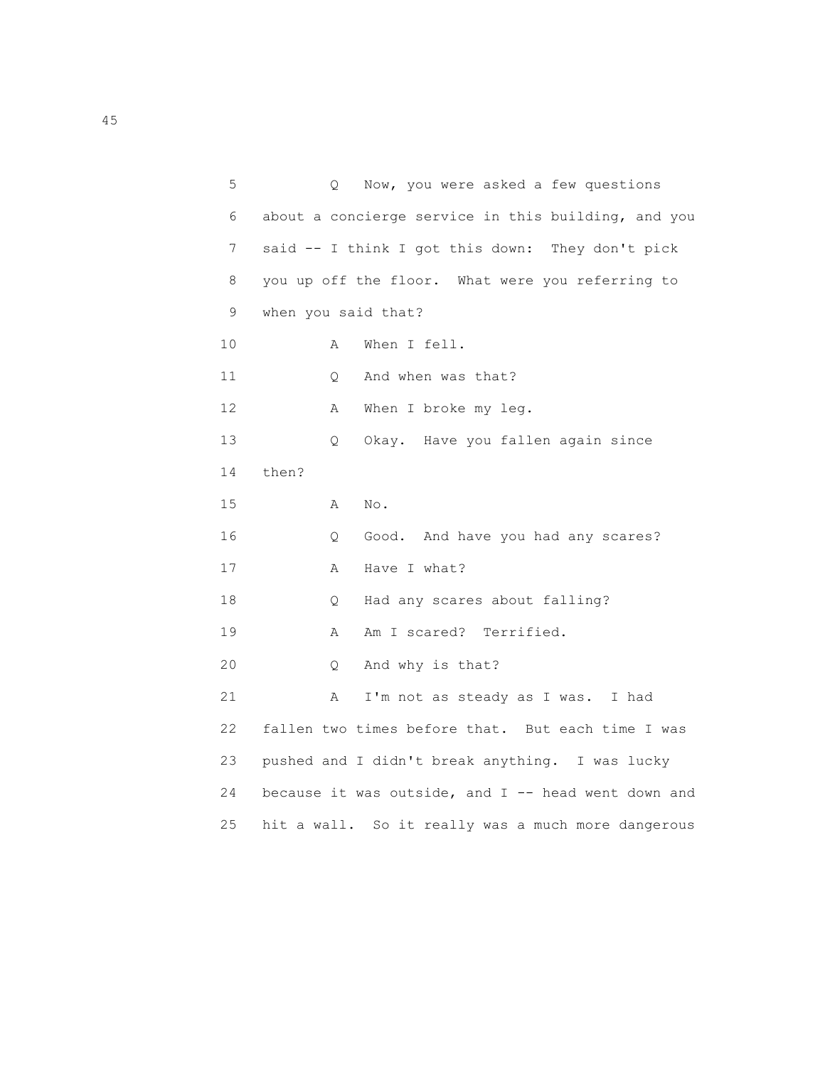| 5  | Q                   | Now, you were asked a few questions                   |
|----|---------------------|-------------------------------------------------------|
| 6  |                     | about a concierge service in this building, and you   |
| 7  |                     | said -- I think I got this down: They don't pick      |
| 8  |                     | you up off the floor. What were you referring to      |
| 9  | when you said that? |                                                       |
| 10 | Α                   | When I fell.                                          |
| 11 | $\circ$             | And when was that?                                    |
| 12 | Α                   | When I broke my leg.                                  |
| 13 | Q.                  | Okay. Have you fallen again since                     |
| 14 | then?               |                                                       |
| 15 | Α                   | No.                                                   |
| 16 | Q.                  | Good. And have you had any scares?                    |
| 17 | $\mathbb A$         | Have I what?                                          |
| 18 | Q                   | Had any scares about falling?                         |
| 19 | Α                   | Am I scared? Terrified.                               |
| 20 | Q.                  | And why is that?                                      |
| 21 | Α                   | I'm not as steady as I was. I had                     |
| 22 |                     | fallen two times before that. But each time I was     |
| 23 |                     | pushed and I didn't break anything. I was lucky       |
| 24 |                     | because it was outside, and $I$ -- head went down and |
| 25 |                     | hit a wall. So it really was a much more dangerous    |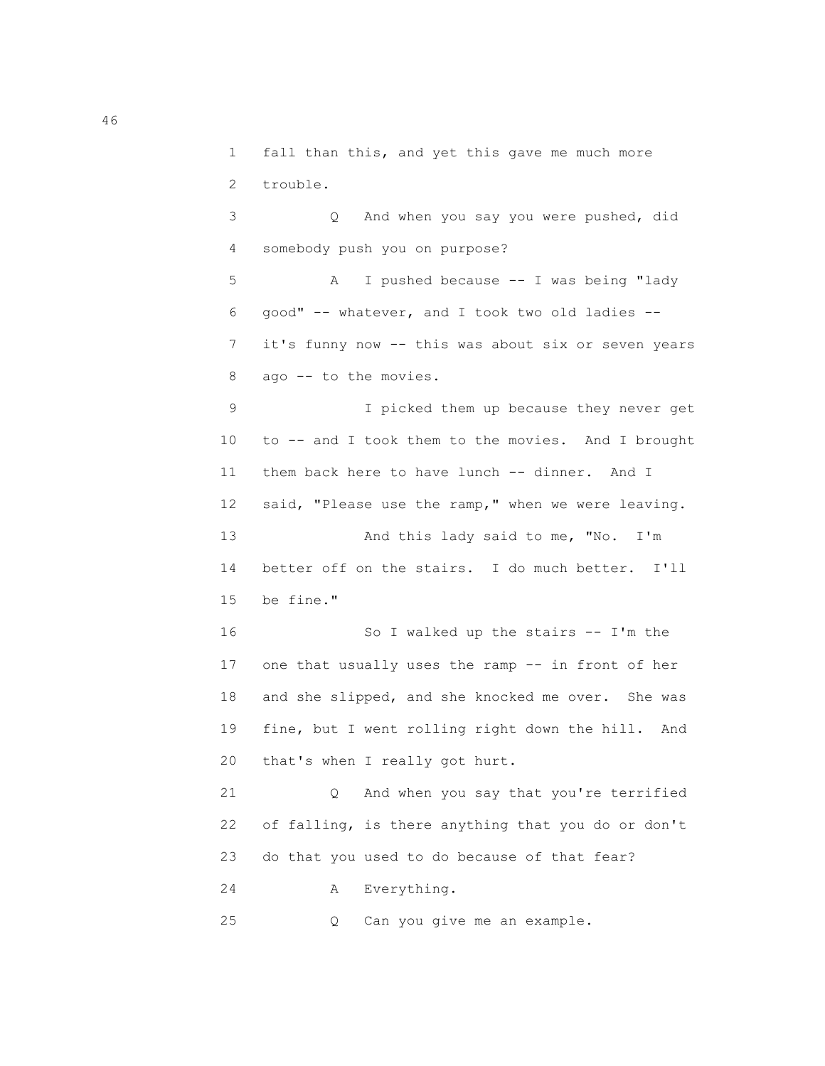1 fall than this, and yet this gave me much more 2 trouble.

 3 Q And when you say you were pushed, did 4 somebody push you on purpose? 5 A I pushed because -- I was being "lady 6 good" -- whatever, and I took two old ladies -- 7 it's funny now -- this was about six or seven years 8 ago -- to the movies. 9 I picked them up because they never get 10 to -- and I took them to the movies. And I brought 11 them back here to have lunch -- dinner. And I 12 said, "Please use the ramp," when we were leaving. 13 And this lady said to me, "No. I'm

 14 better off on the stairs. I do much better. I'll 15 be fine."

 16 So I walked up the stairs -- I'm the 17 one that usually uses the ramp -- in front of her 18 and she slipped, and she knocked me over. She was 19 fine, but I went rolling right down the hill. And 20 that's when I really got hurt.

 21 Q And when you say that you're terrified 22 of falling, is there anything that you do or don't 23 do that you used to do because of that fear? 24 A Everything.

25 Q Can you give me an example.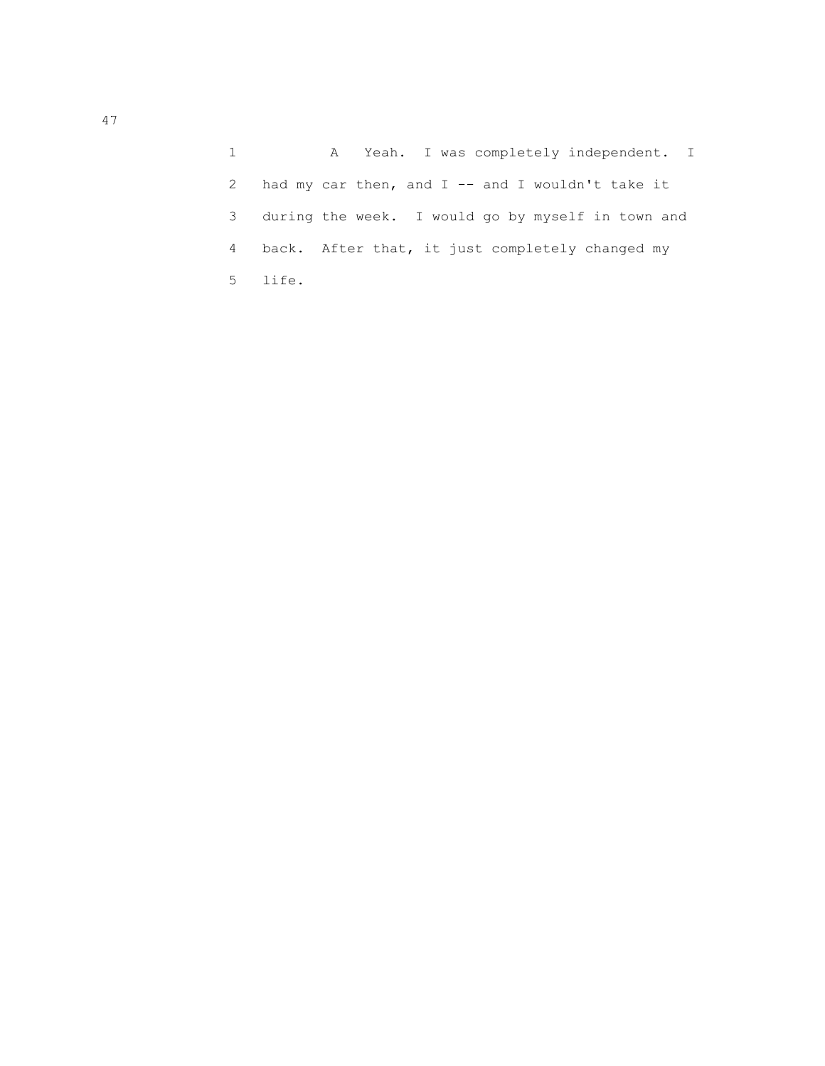1 A Yeah. I was completely independent. I 2 had my car then, and  $I$  -- and I wouldn't take it 3 during the week. I would go by myself in town and 4 back. After that, it just completely changed my 5 life.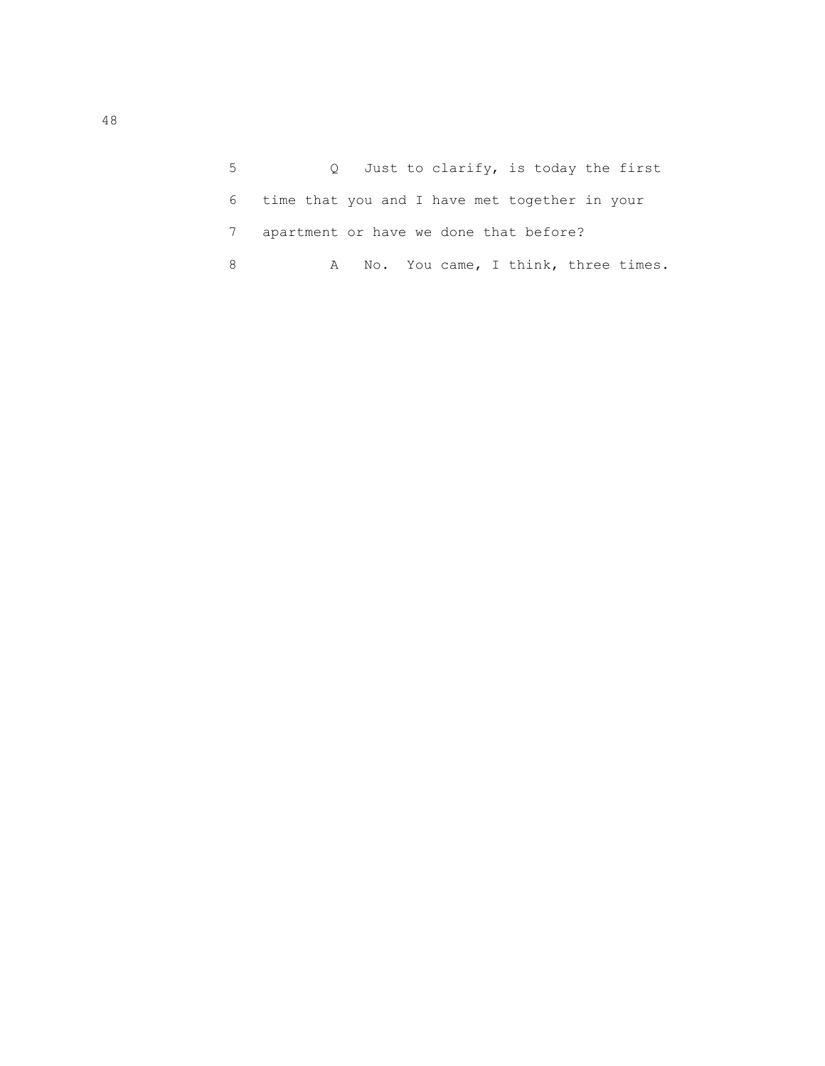| 5 - |                                                 | Q Just to clarify, is today the first |  |  |  |
|-----|-------------------------------------------------|---------------------------------------|--|--|--|
|     | 6 time that you and I have met together in your |                                       |  |  |  |
|     | apartment or have we done that before?          |                                       |  |  |  |
|     |                                                 | A No. You came, I think, three times. |  |  |  |